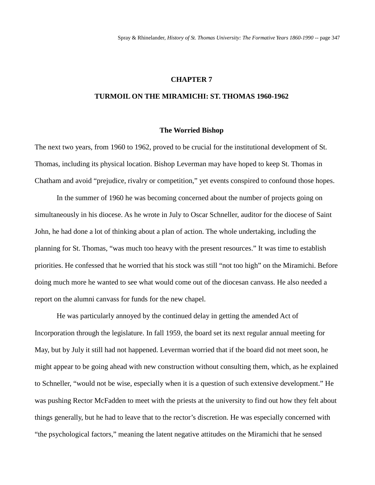#### **CHAPTER 7**

#### **TURMOIL ON THE MIRAMICHI: ST. THOMAS 1960-1962**

#### **The Worried Bishop**

The next two years, from 1960 to 1962, proved to be crucial for the institutional development of St. Thomas, including its physical location. Bishop Leverman may have hoped to keep St. Thomas in Chatham and avoid "prejudice, rivalry or competition," yet events conspired to confound those hopes.

In the summer of 1960 he was becoming concerned about the number of projects going on simultaneously in his diocese. As he wrote in July to Oscar Schneller, auditor for the diocese of Saint John, he had done a lot of thinking about a plan of action. The whole undertaking, including the planning for St. Thomas, "was much too heavy with the present resources." It was time to establish priorities. He confessed that he worried that his stock was still "not too high" on the Miramichi. Before doing much more he wanted to see what would come out of the diocesan canvass. He also needed a report on the alumni canvass for funds for the new chapel.

He was particularly annoyed by the continued delay in getting the amended Act of Incorporation through the legislature. In fall 1959, the board set its next regular annual meeting for May, but by July it still had not happened. Leverman worried that if the board did not meet soon, he might appear to be going ahead with new construction without consulting them, which, as he explained to Schneller, "would not be wise, especially when it is a question of such extensive development." He was pushing Rector McFadden to meet with the priests at the university to find out how they felt about things generally, but he had to leave that to the rector's discretion. He was especially concerned with "the psychological factors," meaning the latent negative attitudes on the Miramichi that he sensed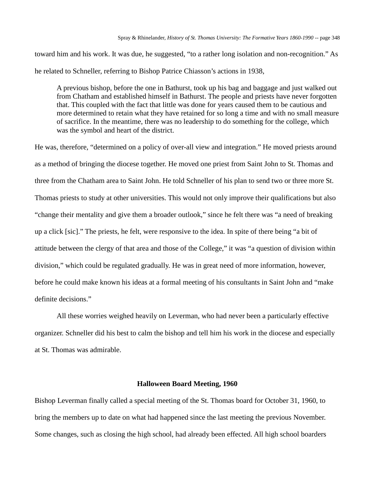toward him and his work. It was due, he suggested, "to a rather long isolation and non-recognition." As he related to Schneller, referring to Bishop Patrice Chiasson's actions in 1938,

A previous bishop, before the one in Bathurst, took up his bag and baggage and just walked out from Chatham and established himself in Bathurst. The people and priests have never forgotten that. This coupled with the fact that little was done for years caused them to be cautious and more determined to retain what they have retained for so long a time and with no small measure of sacrifice. In the meantime, there was no leadership to do something for the college, which was the symbol and heart of the district.

He was, therefore, "determined on a policy of over-all view and integration." He moved priests around as a method of bringing the diocese together. He moved one priest from Saint John to St. Thomas and three from the Chatham area to Saint John. He told Schneller of his plan to send two or three more St. Thomas priests to study at other universities. This would not only improve their qualifications but also "change their mentality and give them a broader outlook," since he felt there was "a need of breaking up a click [sic]." The priests, he felt, were responsive to the idea. In spite of there being "a bit of attitude between the clergy of that area and those of the College," it was "a question of division within division," which could be regulated gradually. He was in great need of more information, however, before he could make known his ideas at a formal meeting of his consultants in Saint John and "make definite decisions."

All these worries weighed heavily on Leverman, who had never been a particularly effective organizer. Schneller did his best to calm the bishop and tell him his work in the diocese and especially at St. Thomas was admirable.

### **Halloween Board Meeting, 1960**

Bishop Leverman finally called a special meeting of the St. Thomas board for October 31, 1960, to bring the members up to date on what had happened since the last meeting the previous November. Some changes, such as closing the high school, had already been effected. All high school boarders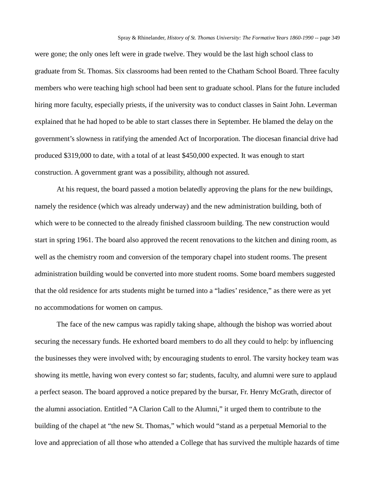were gone; the only ones left were in grade twelve. They would be the last high school class to graduate from St. Thomas. Six classrooms had been rented to the Chatham School Board. Three faculty members who were teaching high school had been sent to graduate school. Plans for the future included hiring more faculty, especially priests, if the university was to conduct classes in Saint John. Leverman explained that he had hoped to be able to start classes there in September. He blamed the delay on the government's slowness in ratifying the amended Act of Incorporation. The diocesan financial drive had produced \$319,000 to date, with a total of at least \$450,000 expected. It was enough to start construction. A government grant was a possibility, although not assured.

At his request, the board passed a motion belatedly approving the plans for the new buildings, namely the residence (which was already underway) and the new administration building, both of which were to be connected to the already finished classroom building. The new construction would start in spring 1961. The board also approved the recent renovations to the kitchen and dining room, as well as the chemistry room and conversion of the temporary chapel into student rooms. The present administration building would be converted into more student rooms. Some board members suggested that the old residence for arts students might be turned into a "ladies' residence," as there were as yet no accommodations for women on campus.

The face of the new campus was rapidly taking shape, although the bishop was worried about securing the necessary funds. He exhorted board members to do all they could to help: by influencing the businesses they were involved with; by encouraging students to enrol. The varsity hockey team was showing its mettle, having won every contest so far; students, faculty, and alumni were sure to applaud a perfect season. The board approved a notice prepared by the bursar, Fr. Henry McGrath, director of the alumni association. Entitled "A Clarion Call to the Alumni," it urged them to contribute to the building of the chapel at "the new St. Thomas," which would "stand as a perpetual Memorial to the love and appreciation of all those who attended a College that has survived the multiple hazards of time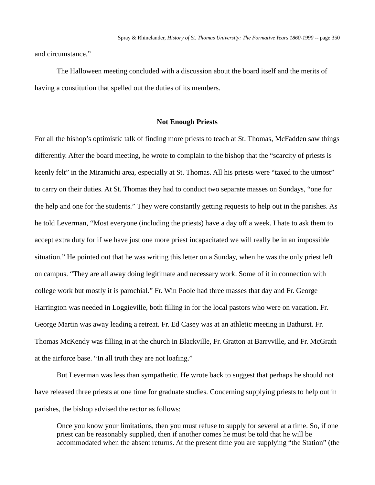and circumstance."

The Halloween meeting concluded with a discussion about the board itself and the merits of having a constitution that spelled out the duties of its members.

#### **Not Enough Priests**

For all the bishop's optimistic talk of finding more priests to teach at St. Thomas, McFadden saw things differently. After the board meeting, he wrote to complain to the bishop that the "scarcity of priests is keenly felt" in the Miramichi area, especially at St. Thomas. All his priests were "taxed to the utmost" to carry on their duties. At St. Thomas they had to conduct two separate masses on Sundays, "one for the help and one for the students." They were constantly getting requests to help out in the parishes. As he told Leverman, "Most everyone (including the priests) have a day off a week. I hate to ask them to accept extra duty for if we have just one more priest incapacitated we will really be in an impossible situation." He pointed out that he was writing this letter on a Sunday, when he was the only priest left on campus. "They are all away doing legitimate and necessary work. Some of it in connection with college work but mostly it is parochial." Fr. Win Poole had three masses that day and Fr. George Harrington was needed in Loggieville, both filling in for the local pastors who were on vacation. Fr. George Martin was away leading a retreat. Fr. Ed Casey was at an athletic meeting in Bathurst. Fr. Thomas McKendy was filling in at the church in Blackville, Fr. Gratton at Barryville, and Fr. McGrath at the airforce base. "In all truth they are not loafing."

But Leverman was less than sympathetic. He wrote back to suggest that perhaps he should not have released three priests at one time for graduate studies. Concerning supplying priests to help out in parishes, the bishop advised the rector as follows:

Once you know your limitations, then you must refuse to supply for several at a time. So, if one priest can be reasonably supplied, then if another comes he must be told that he will be accommodated when the absent returns. At the present time you are supplying "the Station" (the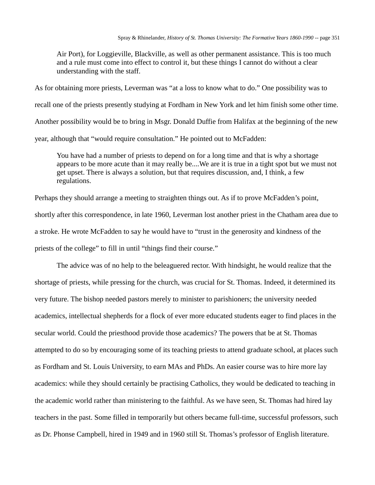Air Port), for Loggieville, Blackville, as well as other permanent assistance. This is too much and a rule must come into effect to control it, but these things I cannot do without a clear understanding with the staff.

As for obtaining more priests, Leverman was "at a loss to know what to do." One possibility was to recall one of the priests presently studying at Fordham in New York and let him finish some other time. Another possibility would be to bring in Msgr. Donald Duffie from Halifax at the beginning of the new year, although that "would require consultation." He pointed out to McFadden:

You have had a number of priests to depend on for a long time and that is why a shortage appears to be more acute than it may really be....We are it is true in a tight spot but we must not get upset. There is always a solution, but that requires discussion, and, I think, a few regulations.

Perhaps they should arrange a meeting to straighten things out. As if to prove McFadden's point, shortly after this correspondence, in late 1960, Leverman lost another priest in the Chatham area due to a stroke. He wrote McFadden to say he would have to "trust in the generosity and kindness of the priests of the college" to fill in until "things find their course."

The advice was of no help to the beleaguered rector. With hindsight, he would realize that the shortage of priests, while pressing for the church, was crucial for St. Thomas. Indeed, it determined its very future. The bishop needed pastors merely to minister to parishioners; the university needed academics, intellectual shepherds for a flock of ever more educated students eager to find places in the secular world. Could the priesthood provide those academics? The powers that be at St. Thomas attempted to do so by encouraging some of its teaching priests to attend graduate school, at places such as Fordham and St. Louis University, to earn MAs and PhDs. An easier course was to hire more lay academics: while they should certainly be practising Catholics, they would be dedicated to teaching in the academic world rather than ministering to the faithful. As we have seen, St. Thomas had hired lay teachers in the past. Some filled in temporarily but others became full-time, successful professors, such as Dr. Phonse Campbell, hired in 1949 and in 1960 still St. Thomas's professor of English literature.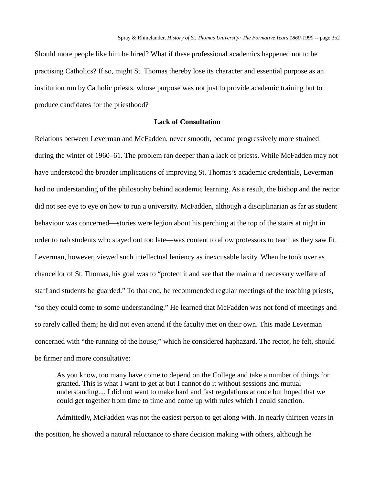Should more people like him be hired? What if these professional academics happened not to be practising Catholics? If so, might St. Thomas thereby lose its character and essential purpose as an institution run by Catholic priests, whose purpose was not just to provide academic training but to produce candidates for the priesthood?

## **Lack of Consultation**

Relations between Leverman and McFadden, never smooth, became progressively more strained during the winter of 1960–61. The problem ran deeper than a lack of priests. While McFadden may not have understood the broader implications of improving St. Thomas's academic credentials, Leverman had no understanding of the philosophy behind academic learning. As a result, the bishop and the rector did not see eye to eye on how to run a university. McFadden, although a disciplinarian as far as student behaviour was concerned—stories were legion about his perching at the top of the stairs at night in order to nab students who stayed out too late—was content to allow professors to teach as they saw fit. Leverman, however, viewed such intellectual leniency as inexcusable laxity. When he took over as chancellor of St. Thomas, his goal was to "protect it and see that the main and necessary welfare of staff and students be guarded." To that end, he recommended regular meetings of the teaching priests, "so they could come to some understanding." He learned that McFadden was not fond of meetings and so rarely called them; he did not even attend if the faculty met on their own. This made Leverman concerned with "the running of the house," which he considered haphazard. The rector, he felt, should be firmer and more consultative:

As you know, too many have come to depend on the College and take a number of things for granted. This is what I want to get at but I cannot do it without sessions and mutual understanding.... I did not want to make hard and fast regulations at once but hoped that we could get together from time to time and come up with rules which I could sanction.

Admittedly, McFadden was not the easiest person to get along with. In nearly thirteen years in the position, he showed a natural reluctance to share decision making with others, although he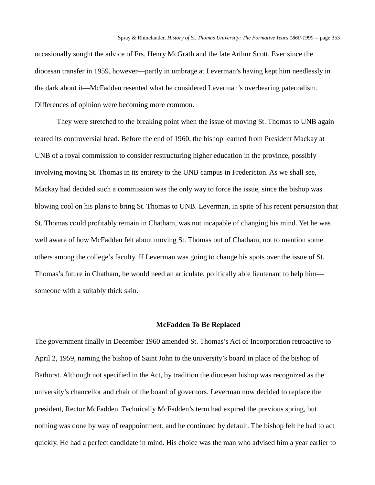occasionally sought the advice of Frs. Henry McGrath and the late Arthur Scott. Ever since the diocesan transfer in 1959, however—partly in umbrage at Leverman's having kept him needlessly in the dark about it—McFadden resented what he considered Leverman's overbearing paternalism. Differences of opinion were becoming more common.

They were stretched to the breaking point when the issue of moving St. Thomas to UNB again reared its controversial head. Before the end of 1960, the bishop learned from President Mackay at UNB of a royal commission to consider restructuring higher education in the province, possibly involving moving St. Thomas in its entirety to the UNB campus in Fredericton. As we shall see, Mackay had decided such a commission was the only way to force the issue, since the bishop was blowing cool on his plans to bring St. Thomas to UNB. Leverman, in spite of his recent persuasion that St. Thomas could profitably remain in Chatham, was not incapable of changing his mind. Yet he was well aware of how McFadden felt about moving St. Thomas out of Chatham, not to mention some others among the college's faculty. If Leverman was going to change his spots over the issue of St. Thomas's future in Chatham, he would need an articulate, politically able lieutenant to help him someone with a suitably thick skin.

#### **McFadden To Be Replaced**

The government finally in December 1960 amended St. Thomas's Act of Incorporation retroactive to April 2, 1959, naming the bishop of Saint John to the university's board in place of the bishop of Bathurst. Although not specified in the Act, by tradition the diocesan bishop was recognized as the university's chancellor and chair of the board of governors. Leverman now decided to replace the president, Rector McFadden. Technically McFadden's term had expired the previous spring, but nothing was done by way of reappointment, and he continued by default. The bishop felt he had to act quickly. He had a perfect candidate in mind. His choice was the man who advised him a year earlier to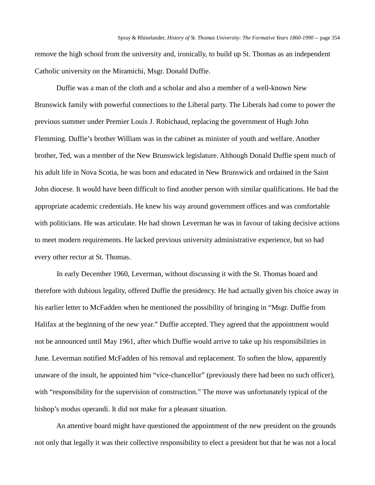remove the high school from the university and, ironically, to build up St. Thomas as an independent Catholic university on the Miramichi, Msgr. Donald Duffie.

Duffie was a man of the cloth and a scholar and also a member of a well-known New Brunswick family with powerful connections to the Liberal party. The Liberals had come to power the previous summer under Premier Louis J. Robichaud, replacing the government of Hugh John Flemming. Duffie's brother William was in the cabinet as minister of youth and welfare. Another brother, Ted, was a member of the New Brunswick legislature. Although Donald Duffie spent much of his adult life in Nova Scotia, he was born and educated in New Brunswick and ordained in the Saint John diocese. It would have been difficult to find another person with similar qualifications. He had the appropriate academic credentials. He knew his way around government offices and was comfortable with politicians. He was articulate. He had shown Leverman he was in favour of taking decisive actions to meet modern requirements. He lacked previous university administrative experience, but so had every other rector at St. Thomas.

In early December 1960, Leverman, without discussing it with the St. Thomas board and therefore with dubious legality, offered Duffie the presidency. He had actually given his choice away in his earlier letter to McFadden when he mentioned the possibility of bringing in "Msgr. Duffie from Halifax at the beginning of the new year." Duffie accepted. They agreed that the appointment would not be announced until May 1961, after which Duffie would arrive to take up his responsibilities in June. Leverman notified McFadden of his removal and replacement. To soften the blow, apparently unaware of the insult, he appointed him "vice-chancellor" (previously there had been no such officer), with "responsibility for the supervision of construction." The move was unfortunately typical of the bishop's modus operandi. It did not make for a pleasant situation.

An attentive board might have questioned the appointment of the new president on the grounds not only that legally it was their collective responsibility to elect a president but that he was not a local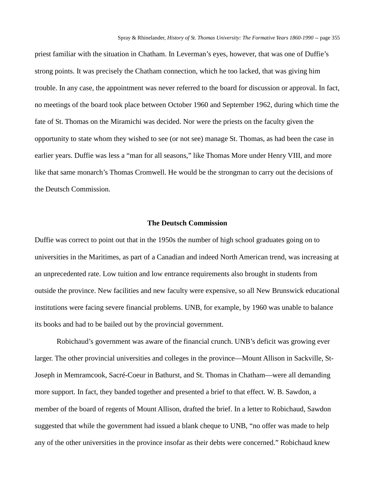priest familiar with the situation in Chatham. In Leverman's eyes, however, that was one of Duffie's strong points. It was precisely the Chatham connection, which he too lacked, that was giving him trouble. In any case, the appointment was never referred to the board for discussion or approval. In fact, no meetings of the board took place between October 1960 and September 1962, during which time the fate of St. Thomas on the Miramichi was decided. Nor were the priests on the faculty given the opportunity to state whom they wished to see (or not see) manage St. Thomas, as had been the case in earlier years. Duffie was less a "man for all seasons," like Thomas More under Henry VIII, and more like that same monarch's Thomas Cromwell. He would be the strongman to carry out the decisions of the Deutsch Commission.

### **The Deutsch Commission**

Duffie was correct to point out that in the 1950s the number of high school graduates going on to universities in the Maritimes, as part of a Canadian and indeed North American trend, was increasing at an unprecedented rate. Low tuition and low entrance requirements also brought in students from outside the province. New facilities and new faculty were expensive, so all New Brunswick educational institutions were facing severe financial problems. UNB, for example, by 1960 was unable to balance its books and had to be bailed out by the provincial government.

Robichaud's government was aware of the financial crunch. UNB's deficit was growing ever larger. The other provincial universities and colleges in the province—Mount Allison in Sackville, St-Joseph in Memramcook, Sacré-Coeur in Bathurst, and St. Thomas in Chatham—were all demanding more support. In fact, they banded together and presented a brief to that effect. W. B. Sawdon, a member of the board of regents of Mount Allison, drafted the brief. In a letter to Robichaud, Sawdon suggested that while the government had issued a blank cheque to UNB, "no offer was made to help any of the other universities in the province insofar as their debts were concerned." Robichaud knew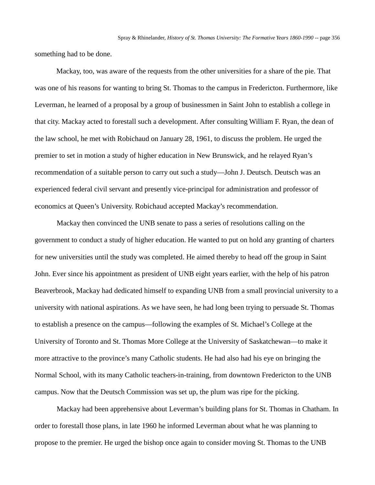something had to be done.

Mackay, too, was aware of the requests from the other universities for a share of the pie. That was one of his reasons for wanting to bring St. Thomas to the campus in Fredericton. Furthermore, like Leverman, he learned of a proposal by a group of businessmen in Saint John to establish a college in that city. Mackay acted to forestall such a development. After consulting William F. Ryan, the dean of the law school, he met with Robichaud on January 28, 1961, to discuss the problem. He urged the premier to set in motion a study of higher education in New Brunswick, and he relayed Ryan's recommendation of a suitable person to carry out such a study—John J. Deutsch. Deutsch was an experienced federal civil servant and presently vice-principal for administration and professor of economics at Queen's University. Robichaud accepted Mackay's recommendation.

Mackay then convinced the UNB senate to pass a series of resolutions calling on the government to conduct a study of higher education. He wanted to put on hold any granting of charters for new universities until the study was completed. He aimed thereby to head off the group in Saint John. Ever since his appointment as president of UNB eight years earlier, with the help of his patron Beaverbrook, Mackay had dedicated himself to expanding UNB from a small provincial university to a university with national aspirations. As we have seen, he had long been trying to persuade St. Thomas to establish a presence on the campus—following the examples of St. Michael's College at the University of Toronto and St. Thomas More College at the University of Saskatchewan—to make it more attractive to the province's many Catholic students. He had also had his eye on bringing the Normal School, with its many Catholic teachers-in-training, from downtown Fredericton to the UNB campus. Now that the Deutsch Commission was set up, the plum was ripe for the picking.

Mackay had been apprehensive about Leverman's building plans for St. Thomas in Chatham. In order to forestall those plans, in late 1960 he informed Leverman about what he was planning to propose to the premier. He urged the bishop once again to consider moving St. Thomas to the UNB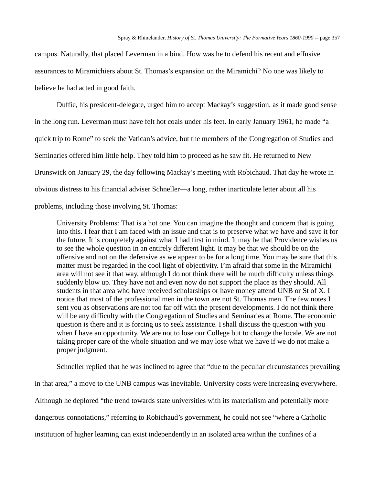campus. Naturally, that placed Leverman in a bind. How was he to defend his recent and effusive assurances to Miramichiers about St. Thomas's expansion on the Miramichi? No one was likely to believe he had acted in good faith.

Duffie, his president-delegate, urged him to accept Mackay's suggestion, as it made good sense in the long run. Leverman must have felt hot coals under his feet. In early January 1961, he made "a quick trip to Rome" to seek the Vatican's advice, but the members of the Congregation of Studies and Seminaries offered him little help. They told him to proceed as he saw fit. He returned to New Brunswick on January 29, the day following Mackay's meeting with Robichaud. That day he wrote in obvious distress to his financial adviser Schneller—a long, rather inarticulate letter about all his problems, including those involving St. Thomas:

University Problems: That is a hot one. You can imagine the thought and concern that is going into this. I fear that I am faced with an issue and that is to preserve what we have and save it for the future. It is completely against what I had first in mind. It may be that Providence wishes us to see the whole question in an entirely different light. It may be that we should be on the offensive and not on the defensive as we appear to be for a long time. You may be sure that this matter must be regarded in the cool light of objectivity. I'm afraid that some in the Miramichi area will not see it that way, although I do not think there will be much difficulty unless things suddenly blow up. They have not and even now do not support the place as they should. All students in that area who have received scholarships or have money attend UNB or St of X. I notice that most of the professional men in the town are not St. Thomas men. The few notes I sent you as observations are not too far off with the present developments. I do not think there will be any difficulty with the Congregation of Studies and Seminaries at Rome. The economic question is there and it is forcing us to seek assistance. I shall discuss the question with you when I have an opportunity. We are not to lose our College but to change the locale. We are not taking proper care of the whole situation and we may lose what we have if we do not make a proper judgment.

Schneller replied that he was inclined to agree that "due to the peculiar circumstances prevailing in that area," a move to the UNB campus was inevitable. University costs were increasing everywhere. Although he deplored "the trend towards state universities with its materialism and potentially more dangerous connotations," referring to Robichaud's government, he could not see "where a Catholic institution of higher learning can exist independently in an isolated area within the confines of a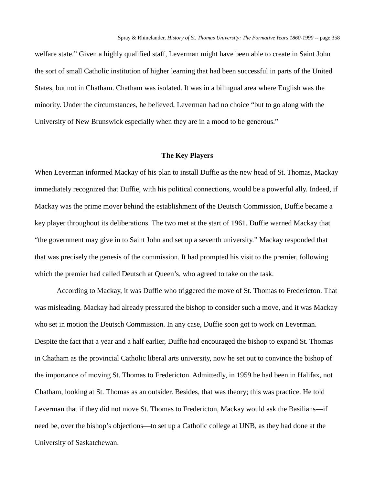welfare state." Given a highly qualified staff, Leverman might have been able to create in Saint John the sort of small Catholic institution of higher learning that had been successful in parts of the United States, but not in Chatham. Chatham was isolated. It was in a bilingual area where English was the minority. Under the circumstances, he believed, Leverman had no choice "but to go along with the University of New Brunswick especially when they are in a mood to be generous."

#### **The Key Players**

When Leverman informed Mackay of his plan to install Duffie as the new head of St. Thomas, Mackay immediately recognized that Duffie, with his political connections, would be a powerful ally. Indeed, if Mackay was the prime mover behind the establishment of the Deutsch Commission, Duffie became a key player throughout its deliberations. The two met at the start of 1961. Duffie warned Mackay that "the government may give in to Saint John and set up a seventh university." Mackay responded that that was precisely the genesis of the commission. It had prompted his visit to the premier, following which the premier had called Deutsch at Queen's, who agreed to take on the task.

According to Mackay, it was Duffie who triggered the move of St. Thomas to Fredericton. That was misleading. Mackay had already pressured the bishop to consider such a move, and it was Mackay who set in motion the Deutsch Commission. In any case, Duffie soon got to work on Leverman. Despite the fact that a year and a half earlier, Duffie had encouraged the bishop to expand St. Thomas in Chatham as the provincial Catholic liberal arts university, now he set out to convince the bishop of the importance of moving St. Thomas to Fredericton. Admittedly, in 1959 he had been in Halifax, not Chatham, looking at St. Thomas as an outsider. Besides, that was theory; this was practice. He told Leverman that if they did not move St. Thomas to Fredericton, Mackay would ask the Basilians—if need be, over the bishop's objections—to set up a Catholic college at UNB, as they had done at the University of Saskatchewan.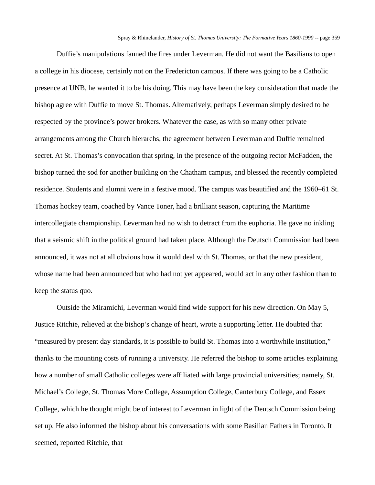Duffie's manipulations fanned the fires under Leverman. He did not want the Basilians to open a college in his diocese, certainly not on the Fredericton campus. If there was going to be a Catholic presence at UNB, he wanted it to be his doing. This may have been the key consideration that made the bishop agree with Duffie to move St. Thomas. Alternatively, perhaps Leverman simply desired to be respected by the province's power brokers. Whatever the case, as with so many other private arrangements among the Church hierarchs, the agreement between Leverman and Duffie remained secret. At St. Thomas's convocation that spring, in the presence of the outgoing rector McFadden, the bishop turned the sod for another building on the Chatham campus, and blessed the recently completed residence. Students and alumni were in a festive mood. The campus was beautified and the 1960–61 St. Thomas hockey team, coached by Vance Toner, had a brilliant season, capturing the Maritime intercollegiate championship. Leverman had no wish to detract from the euphoria. He gave no inkling that a seismic shift in the political ground had taken place. Although the Deutsch Commission had been announced, it was not at all obvious how it would deal with St. Thomas, or that the new president, whose name had been announced but who had not yet appeared, would act in any other fashion than to keep the status quo.

Outside the Miramichi, Leverman would find wide support for his new direction. On May 5, Justice Ritchie, relieved at the bishop's change of heart, wrote a supporting letter. He doubted that "measured by present day standards, it is possible to build St. Thomas into a worthwhile institution," thanks to the mounting costs of running a university. He referred the bishop to some articles explaining how a number of small Catholic colleges were affiliated with large provincial universities; namely, St. Michael's College, St. Thomas More College, Assumption College, Canterbury College, and Essex College, which he thought might be of interest to Leverman in light of the Deutsch Commission being set up. He also informed the bishop about his conversations with some Basilian Fathers in Toronto. It seemed, reported Ritchie, that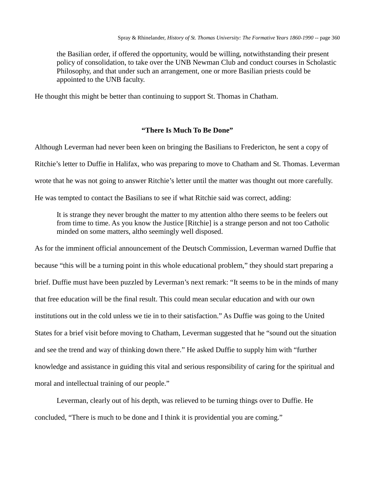the Basilian order, if offered the opportunity, would be willing, notwithstanding their present policy of consolidation, to take over the UNB Newman Club and conduct courses in Scholastic Philosophy, and that under such an arrangement, one or more Basilian priests could be appointed to the UNB faculty.

He thought this might be better than continuing to support St. Thomas in Chatham.

### **"There Is Much To Be Done"**

Although Leverman had never been keen on bringing the Basilians to Fredericton, he sent a copy of Ritchie's letter to Duffie in Halifax, who was preparing to move to Chatham and St. Thomas. Leverman wrote that he was not going to answer Ritchie's letter until the matter was thought out more carefully. He was tempted to contact the Basilians to see if what Ritchie said was correct, adding:

It is strange they never brought the matter to my attention altho there seems to be feelers out from time to time. As you know the Justice [Ritchie] is a strange person and not too Catholic minded on some matters, altho seemingly well disposed.

As for the imminent official announcement of the Deutsch Commission, Leverman warned Duffie that because "this will be a turning point in this whole educational problem," they should start preparing a brief. Duffie must have been puzzled by Leverman's next remark: "It seems to be in the minds of many that free education will be the final result. This could mean secular education and with our own institutions out in the cold unless we tie in to their satisfaction." As Duffie was going to the United States for a brief visit before moving to Chatham, Leverman suggested that he "sound out the situation and see the trend and way of thinking down there." He asked Duffie to supply him with "further knowledge and assistance in guiding this vital and serious responsibility of caring for the spiritual and moral and intellectual training of our people."

Leverman, clearly out of his depth, was relieved to be turning things over to Duffie. He concluded, "There is much to be done and I think it is providential you are coming."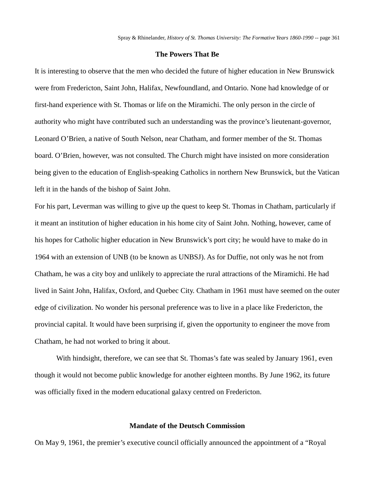## **The Powers That Be**

It is interesting to observe that the men who decided the future of higher education in New Brunswick were from Fredericton, Saint John, Halifax, Newfoundland, and Ontario. None had knowledge of or first-hand experience with St. Thomas or life on the Miramichi. The only person in the circle of authority who might have contributed such an understanding was the province's lieutenant-governor, Leonard O'Brien, a native of South Nelson, near Chatham, and former member of the St. Thomas board. O'Brien, however, was not consulted. The Church might have insisted on more consideration being given to the education of English-speaking Catholics in northern New Brunswick, but the Vatican left it in the hands of the bishop of Saint John.

For his part, Leverman was willing to give up the quest to keep St. Thomas in Chatham, particularly if it meant an institution of higher education in his home city of Saint John. Nothing, however, came of his hopes for Catholic higher education in New Brunswick's port city; he would have to make do in 1964 with an extension of UNB (to be known as UNBSJ). As for Duffie, not only was he not from Chatham, he was a city boy and unlikely to appreciate the rural attractions of the Miramichi. He had lived in Saint John, Halifax, Oxford, and Quebec City. Chatham in 1961 must have seemed on the outer edge of civilization. No wonder his personal preference was to live in a place like Fredericton, the provincial capital. It would have been surprising if, given the opportunity to engineer the move from Chatham, he had not worked to bring it about.

With hindsight, therefore, we can see that St. Thomas's fate was sealed by January 1961, even though it would not become public knowledge for another eighteen months. By June 1962, its future was officially fixed in the modern educational galaxy centred on Fredericton.

#### **Mandate of the Deutsch Commission**

On May 9, 1961, the premier's executive council officially announced the appointment of a "Royal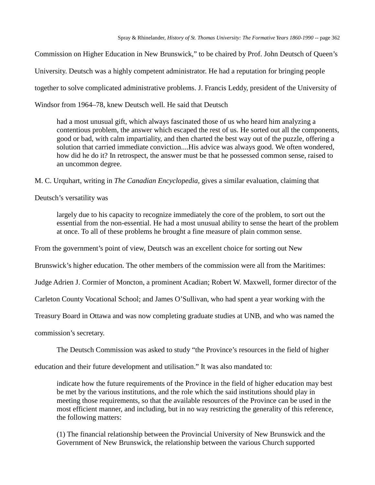Commission on Higher Education in New Brunswick," to be chaired by Prof. John Deutsch of Queen's

University. Deutsch was a highly competent administrator. He had a reputation for bringing people

together to solve complicated administrative problems. J. Francis Leddy, president of the University of

Windsor from 1964–78, knew Deutsch well. He said that Deutsch

had a most unusual gift, which always fascinated those of us who heard him analyzing a contentious problem, the answer which escaped the rest of us. He sorted out all the components, good or bad, with calm impartiality, and then charted the best way out of the puzzle, offering a solution that carried immediate conviction....His advice was always good. We often wondered, how did he do it? In retrospect, the answer must be that he possessed common sense, raised to an uncommon degree.

M. C. Urquhart, writing in *The Canadian Encyclopedia*, gives a similar evaluation, claiming that

Deutsch's versatility was

largely due to his capacity to recognize immediately the core of the problem, to sort out the essential from the non-essential. He had a most unusual ability to sense the heart of the problem at once. To all of these problems he brought a fine measure of plain common sense.

From the government's point of view, Deutsch was an excellent choice for sorting out New

Brunswick's higher education. The other members of the commission were all from the Maritimes:

Judge Adrien J. Cormier of Moncton, a prominent Acadian; Robert W. Maxwell, former director of the

Carleton County Vocational School; and James O'Sullivan, who had spent a year working with the

Treasury Board in Ottawa and was now completing graduate studies at UNB, and who was named the

commission's secretary.

The Deutsch Commission was asked to study "the Province's resources in the field of higher

education and their future development and utilisation." It was also mandated to:

indicate how the future requirements of the Province in the field of higher education may best be met by the various institutions, and the role which the said institutions should play in meeting those requirements, so that the available resources of the Province can be used in the most efficient manner, and including, but in no way restricting the generality of this reference, the following matters:

(1) The financial relationship between the Provincial University of New Brunswick and the Government of New Brunswick, the relationship between the various Church supported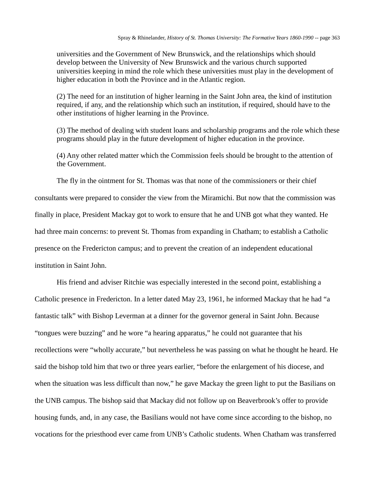universities and the Government of New Brunswick, and the relationships which should develop between the University of New Brunswick and the various church supported universities keeping in mind the role which these universities must play in the development of higher education in both the Province and in the Atlantic region.

(2) The need for an institution of higher learning in the Saint John area, the kind of institution required, if any, and the relationship which such an institution, if required, should have to the other institutions of higher learning in the Province.

(3) The method of dealing with student loans and scholarship programs and the role which these programs should play in the future development of higher education in the province.

(4) Any other related matter which the Commission feels should be brought to the attention of the Government.

The fly in the ointment for St. Thomas was that none of the commissioners or their chief

consultants were prepared to consider the view from the Miramichi. But now that the commission was finally in place, President Mackay got to work to ensure that he and UNB got what they wanted. He had three main concerns: to prevent St. Thomas from expanding in Chatham; to establish a Catholic presence on the Fredericton campus; and to prevent the creation of an independent educational institution in Saint John.

His friend and adviser Ritchie was especially interested in the second point, establishing a Catholic presence in Fredericton. In a letter dated May 23, 1961, he informed Mackay that he had "a fantastic talk" with Bishop Leverman at a dinner for the governor general in Saint John. Because "tongues were buzzing" and he wore "a hearing apparatus," he could not guarantee that his recollections were "wholly accurate," but nevertheless he was passing on what he thought he heard. He said the bishop told him that two or three years earlier, "before the enlargement of his diocese, and when the situation was less difficult than now," he gave Mackay the green light to put the Basilians on the UNB campus. The bishop said that Mackay did not follow up on Beaverbrook's offer to provide housing funds, and, in any case, the Basilians would not have come since according to the bishop, no vocations for the priesthood ever came from UNB's Catholic students. When Chatham was transferred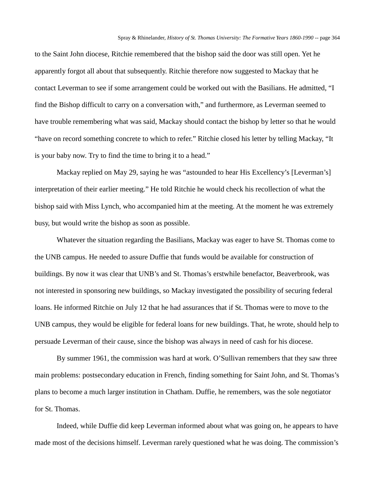to the Saint John diocese, Ritchie remembered that the bishop said the door was still open. Yet he apparently forgot all about that subsequently. Ritchie therefore now suggested to Mackay that he contact Leverman to see if some arrangement could be worked out with the Basilians. He admitted, "I find the Bishop difficult to carry on a conversation with," and furthermore, as Leverman seemed to have trouble remembering what was said, Mackay should contact the bishop by letter so that he would "have on record something concrete to which to refer." Ritchie closed his letter by telling Mackay, "It is your baby now. Try to find the time to bring it to a head."

Mackay replied on May 29, saying he was "astounded to hear His Excellency's [Leverman's] interpretation of their earlier meeting." He told Ritchie he would check his recollection of what the bishop said with Miss Lynch, who accompanied him at the meeting. At the moment he was extremely busy, but would write the bishop as soon as possible.

Whatever the situation regarding the Basilians, Mackay was eager to have St. Thomas come to the UNB campus. He needed to assure Duffie that funds would be available for construction of buildings. By now it was clear that UNB's and St. Thomas's erstwhile benefactor, Beaverbrook, was not interested in sponsoring new buildings, so Mackay investigated the possibility of securing federal loans. He informed Ritchie on July 12 that he had assurances that if St. Thomas were to move to the UNB campus, they would be eligible for federal loans for new buildings. That, he wrote, should help to persuade Leverman of their cause, since the bishop was always in need of cash for his diocese.

By summer 1961, the commission was hard at work. O'Sullivan remembers that they saw three main problems: postsecondary education in French, finding something for Saint John, and St. Thomas's plans to become a much larger institution in Chatham. Duffie, he remembers, was the sole negotiator for St. Thomas.

Indeed, while Duffie did keep Leverman informed about what was going on, he appears to have made most of the decisions himself. Leverman rarely questioned what he was doing. The commission's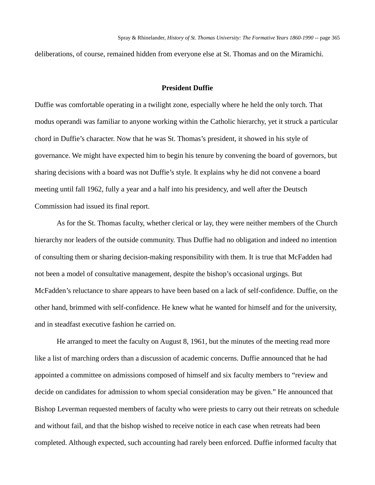deliberations, of course, remained hidden from everyone else at St. Thomas and on the Miramichi.

### **President Duffie**

Duffie was comfortable operating in a twilight zone, especially where he held the only torch. That modus operandi was familiar to anyone working within the Catholic hierarchy, yet it struck a particular chord in Duffie's character. Now that he was St. Thomas's president, it showed in his style of governance. We might have expected him to begin his tenure by convening the board of governors, but sharing decisions with a board was not Duffie's style. It explains why he did not convene a board meeting until fall 1962, fully a year and a half into his presidency, and well after the Deutsch Commission had issued its final report.

As for the St. Thomas faculty, whether clerical or lay, they were neither members of the Church hierarchy nor leaders of the outside community. Thus Duffie had no obligation and indeed no intention of consulting them or sharing decision-making responsibility with them. It is true that McFadden had not been a model of consultative management, despite the bishop's occasional urgings. But McFadden's reluctance to share appears to have been based on a lack of self-confidence. Duffie, on the other hand, brimmed with self-confidence. He knew what he wanted for himself and for the university, and in steadfast executive fashion he carried on.

He arranged to meet the faculty on August 8, 1961, but the minutes of the meeting read more like a list of marching orders than a discussion of academic concerns. Duffie announced that he had appointed a committee on admissions composed of himself and six faculty members to "review and decide on candidates for admission to whom special consideration may be given." He announced that Bishop Leverman requested members of faculty who were priests to carry out their retreats on schedule and without fail, and that the bishop wished to receive notice in each case when retreats had been completed. Although expected, such accounting had rarely been enforced. Duffie informed faculty that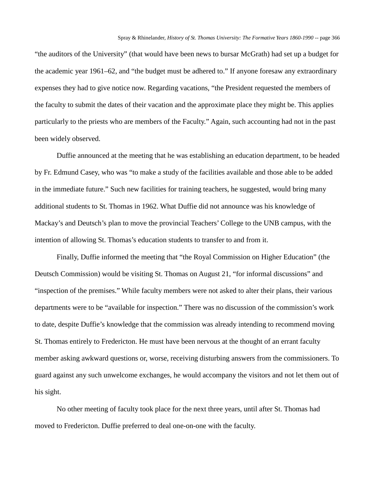"the auditors of the University" (that would have been news to bursar McGrath) had set up a budget for the academic year 1961–62, and "the budget must be adhered to." If anyone foresaw any extraordinary expenses they had to give notice now. Regarding vacations, "the President requested the members of the faculty to submit the dates of their vacation and the approximate place they might be. This applies particularly to the priests who are members of the Faculty." Again, such accounting had not in the past been widely observed.

Duffie announced at the meeting that he was establishing an education department, to be headed by Fr. Edmund Casey, who was "to make a study of the facilities available and those able to be added in the immediate future." Such new facilities for training teachers, he suggested, would bring many additional students to St. Thomas in 1962. What Duffie did not announce was his knowledge of Mackay's and Deutsch's plan to move the provincial Teachers' College to the UNB campus, with the intention of allowing St. Thomas's education students to transfer to and from it.

Finally, Duffie informed the meeting that "the Royal Commission on Higher Education" (the Deutsch Commission) would be visiting St. Thomas on August 21, "for informal discussions" and "inspection of the premises." While faculty members were not asked to alter their plans, their various departments were to be "available for inspection." There was no discussion of the commission's work to date, despite Duffie's knowledge that the commission was already intending to recommend moving St. Thomas entirely to Fredericton. He must have been nervous at the thought of an errant faculty member asking awkward questions or, worse, receiving disturbing answers from the commissioners. To guard against any such unwelcome exchanges, he would accompany the visitors and not let them out of his sight.

No other meeting of faculty took place for the next three years, until after St. Thomas had moved to Fredericton. Duffie preferred to deal one-on-one with the faculty.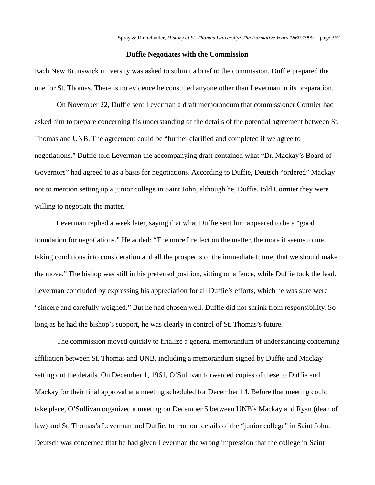#### **Duffie Negotiates with the Commission**

Each New Brunswick university was asked to submit a brief to the commission. Duffie prepared the one for St. Thomas. There is no evidence he consulted anyone other than Leverman in its preparation.

On November 22, Duffie sent Leverman a draft memorandum that commissioner Cormier had asked him to prepare concerning his understanding of the details of the potential agreement between St. Thomas and UNB. The agreement could be "further clarified and completed if we agree to negotiations." Duffie told Leverman the accompanying draft contained what "Dr. Mackay's Board of Governors" had agreed to as a basis for negotiations. According to Duffie, Deutsch "ordered" Mackay not to mention setting up a junior college in Saint John, although he, Duffie, told Cormier they were willing to negotiate the matter.

Leverman replied a week later, saying that what Duffie sent him appeared to be a "good foundation for negotiations." He added: "The more I reflect on the matter, the more it seems to me, taking conditions into consideration and all the prospects of the immediate future, that we should make the move." The bishop was still in his preferred position, sitting on a fence, while Duffie took the lead. Leverman concluded by expressing his appreciation for all Duffie's efforts, which he was sure were "sincere and carefully weighed." But he had chosen well. Duffie did not shrink from responsibility. So long as he had the bishop's support, he was clearly in control of St. Thomas's future.

The commission moved quickly to finalize a general memorandum of understanding concerning affiliation between St. Thomas and UNB, including a memorandum signed by Duffie and Mackay setting out the details. On December 1, 1961, O'Sullivan forwarded copies of these to Duffie and Mackay for their final approval at a meeting scheduled for December 14. Before that meeting could take place, O'Sullivan organized a meeting on December 5 between UNB's Mackay and Ryan (dean of law) and St. Thomas's Leverman and Duffie, to iron out details of the "junior college" in Saint John. Deutsch was concerned that he had given Leverman the wrong impression that the college in Saint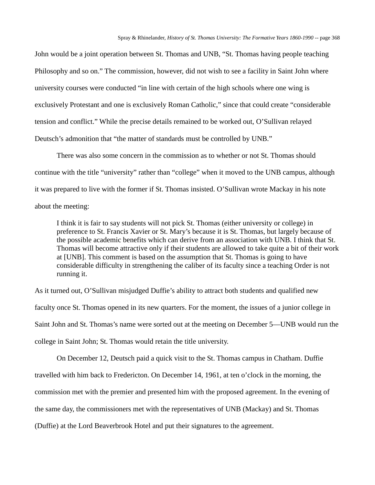John would be a joint operation between St. Thomas and UNB, "St. Thomas having people teaching Philosophy and so on." The commission, however, did not wish to see a facility in Saint John where university courses were conducted "in line with certain of the high schools where one wing is exclusively Protestant and one is exclusively Roman Catholic," since that could create "considerable tension and conflict." While the precise details remained to be worked out, O'Sullivan relayed Deutsch's admonition that "the matter of standards must be controlled by UNB."

There was also some concern in the commission as to whether or not St. Thomas should continue with the title "university" rather than "college" when it moved to the UNB campus, although it was prepared to live with the former if St. Thomas insisted. O'Sullivan wrote Mackay in his note about the meeting:

I think it is fair to say students will not pick St. Thomas (either university or college) in preference to St. Francis Xavier or St. Mary's because it is St. Thomas, but largely because of the possible academic benefits which can derive from an association with UNB. I think that St. Thomas will become attractive only if their students are allowed to take quite a bit of their work at [UNB]. This comment is based on the assumption that St. Thomas is going to have considerable difficulty in strengthening the caliber of its faculty since a teaching Order is not running it.

As it turned out, O'Sullivan misjudged Duffie's ability to attract both students and qualified new faculty once St. Thomas opened in its new quarters. For the moment, the issues of a junior college in Saint John and St. Thomas's name were sorted out at the meeting on December 5—UNB would run the college in Saint John; St. Thomas would retain the title university.

On December 12, Deutsch paid a quick visit to the St. Thomas campus in Chatham. Duffie travelled with him back to Fredericton. On December 14, 1961, at ten o'clock in the morning, the commission met with the premier and presented him with the proposed agreement. In the evening of the same day, the commissioners met with the representatives of UNB (Mackay) and St. Thomas (Duffie) at the Lord Beaverbrook Hotel and put their signatures to the agreement.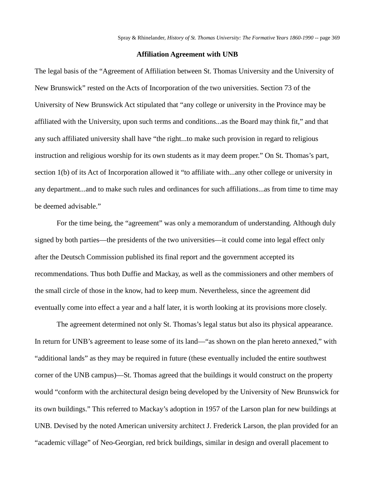#### **Affiliation Agreement with UNB**

The legal basis of the "Agreement of Affiliation between St. Thomas University and the University of New Brunswick" rested on the Acts of Incorporation of the two universities. Section 73 of the University of New Brunswick Act stipulated that "any college or university in the Province may be affiliated with the University, upon such terms and conditions...as the Board may think fit," and that any such affiliated university shall have "the right...to make such provision in regard to religious instruction and religious worship for its own students as it may deem proper." On St. Thomas's part, section 1(b) of its Act of Incorporation allowed it "to affiliate with...any other college or university in any department...and to make such rules and ordinances for such affiliations...as from time to time may be deemed advisable."

For the time being, the "agreement" was only a memorandum of understanding. Although duly signed by both parties—the presidents of the two universities—it could come into legal effect only after the Deutsch Commission published its final report and the government accepted its recommendations. Thus both Duffie and Mackay, as well as the commissioners and other members of the small circle of those in the know, had to keep mum. Nevertheless, since the agreement did eventually come into effect a year and a half later, it is worth looking at its provisions more closely.

The agreement determined not only St. Thomas's legal status but also its physical appearance. In return for UNB's agreement to lease some of its land—"as shown on the plan hereto annexed," with "additional lands" as they may be required in future (these eventually included the entire southwest corner of the UNB campus)—St. Thomas agreed that the buildings it would construct on the property would "conform with the architectural design being developed by the University of New Brunswick for its own buildings." This referred to Mackay's adoption in 1957 of the Larson plan for new buildings at UNB. Devised by the noted American university architect J. Frederick Larson, the plan provided for an "academic village" of Neo-Georgian, red brick buildings, similar in design and overall placement to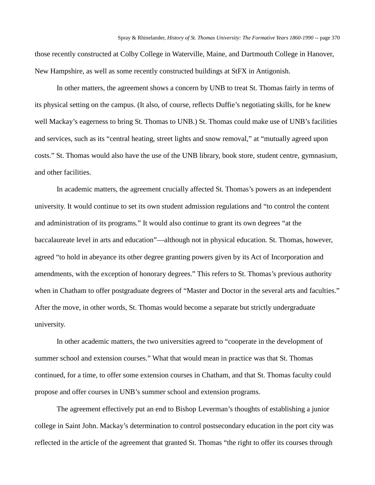those recently constructed at Colby College in Waterville, Maine, and Dartmouth College in Hanover, New Hampshire, as well as some recently constructed buildings at StFX in Antigonish.

In other matters, the agreement shows a concern by UNB to treat St. Thomas fairly in terms of its physical setting on the campus. (It also, of course, reflects Duffie's negotiating skills, for he knew well Mackay's eagerness to bring St. Thomas to UNB.) St. Thomas could make use of UNB's facilities and services, such as its "central heating, street lights and snow removal," at "mutually agreed upon costs." St. Thomas would also have the use of the UNB library, book store, student centre, gymnasium, and other facilities.

In academic matters, the agreement crucially affected St. Thomas's powers as an independent university. It would continue to set its own student admission regulations and "to control the content and administration of its programs." It would also continue to grant its own degrees "at the baccalaureate level in arts and education"—although not in physical education. St. Thomas, however, agreed "to hold in abeyance its other degree granting powers given by its Act of Incorporation and amendments, with the exception of honorary degrees." This refers to St. Thomas's previous authority when in Chatham to offer postgraduate degrees of "Master and Doctor in the several arts and faculties." After the move, in other words, St. Thomas would become a separate but strictly undergraduate university.

In other academic matters, the two universities agreed to "cooperate in the development of summer school and extension courses." What that would mean in practice was that St. Thomas continued, for a time, to offer some extension courses in Chatham, and that St. Thomas faculty could propose and offer courses in UNB's summer school and extension programs.

The agreement effectively put an end to Bishop Leverman's thoughts of establishing a junior college in Saint John. Mackay's determination to control postsecondary education in the port city was reflected in the article of the agreement that granted St. Thomas "the right to offer its courses through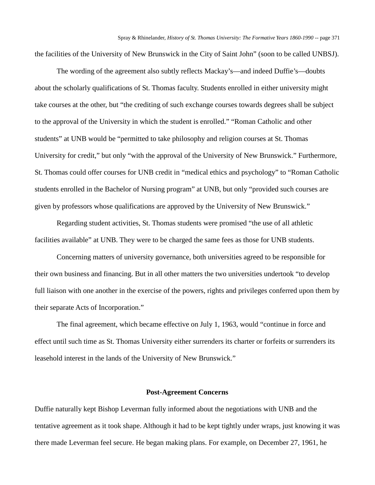the facilities of the University of New Brunswick in the City of Saint John" (soon to be called UNBSJ).

The wording of the agreement also subtly reflects Mackay's—and indeed Duffie's—doubts about the scholarly qualifications of St. Thomas faculty. Students enrolled in either university might take courses at the other, but "the crediting of such exchange courses towards degrees shall be subject to the approval of the University in which the student is enrolled." "Roman Catholic and other students" at UNB would be "permitted to take philosophy and religion courses at St. Thomas University for credit," but only "with the approval of the University of New Brunswick." Furthermore, St. Thomas could offer courses for UNB credit in "medical ethics and psychology" to "Roman Catholic students enrolled in the Bachelor of Nursing program" at UNB, but only "provided such courses are given by professors whose qualifications are approved by the University of New Brunswick."

Regarding student activities, St. Thomas students were promised "the use of all athletic facilities available" at UNB. They were to be charged the same fees as those for UNB students.

Concerning matters of university governance, both universities agreed to be responsible for their own business and financing. But in all other matters the two universities undertook "to develop full liaison with one another in the exercise of the powers, rights and privileges conferred upon them by their separate Acts of Incorporation."

The final agreement, which became effective on July 1, 1963, would "continue in force and effect until such time as St. Thomas University either surrenders its charter or forfeits or surrenders its leasehold interest in the lands of the University of New Brunswick."

### **Post-Agreement Concerns**

Duffie naturally kept Bishop Leverman fully informed about the negotiations with UNB and the tentative agreement as it took shape. Although it had to be kept tightly under wraps, just knowing it was there made Leverman feel secure. He began making plans. For example, on December 27, 1961, he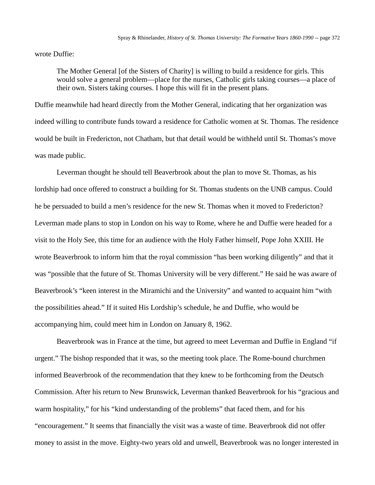wrote Duffie:

The Mother General [of the Sisters of Charity] is willing to build a residence for girls. This would solve a general problem—place for the nurses, Catholic girls taking courses—a place of their own. Sisters taking courses. I hope this will fit in the present plans.

Duffie meanwhile had heard directly from the Mother General, indicating that her organization was indeed willing to contribute funds toward a residence for Catholic women at St. Thomas. The residence would be built in Fredericton, not Chatham, but that detail would be withheld until St. Thomas's move was made public.

Leverman thought he should tell Beaverbrook about the plan to move St. Thomas, as his lordship had once offered to construct a building for St. Thomas students on the UNB campus. Could he be persuaded to build a men's residence for the new St. Thomas when it moved to Fredericton? Leverman made plans to stop in London on his way to Rome, where he and Duffie were headed for a visit to the Holy See, this time for an audience with the Holy Father himself, Pope John XXIII. He wrote Beaverbrook to inform him that the royal commission "has been working diligently" and that it was "possible that the future of St. Thomas University will be very different." He said he was aware of Beaverbrook's "keen interest in the Miramichi and the University" and wanted to acquaint him "with the possibilities ahead." If it suited His Lordship's schedule, he and Duffie, who would be accompanying him, could meet him in London on January 8, 1962.

Beaverbrook was in France at the time, but agreed to meet Leverman and Duffie in England "if urgent." The bishop responded that it was, so the meeting took place. The Rome-bound churchmen informed Beaverbrook of the recommendation that they knew to be forthcoming from the Deutsch Commission. After his return to New Brunswick, Leverman thanked Beaverbrook for his "gracious and warm hospitality," for his "kind understanding of the problems" that faced them, and for his "encouragement." It seems that financially the visit was a waste of time. Beaverbrook did not offer money to assist in the move. Eighty-two years old and unwell, Beaverbrook was no longer interested in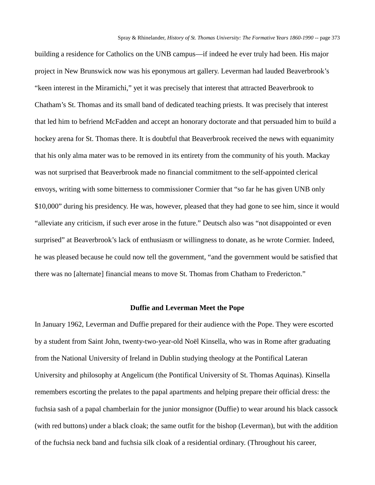building a residence for Catholics on the UNB campus—if indeed he ever truly had been. His major project in New Brunswick now was his eponymous art gallery. Leverman had lauded Beaverbrook's "keen interest in the Miramichi," yet it was precisely that interest that attracted Beaverbrook to Chatham's St. Thomas and its small band of dedicated teaching priests. It was precisely that interest that led him to befriend McFadden and accept an honorary doctorate and that persuaded him to build a hockey arena for St. Thomas there. It is doubtful that Beaverbrook received the news with equanimity that his only alma mater was to be removed in its entirety from the community of his youth. Mackay was not surprised that Beaverbrook made no financial commitment to the self-appointed clerical envoys, writing with some bitterness to commissioner Cormier that "so far he has given UNB only \$10,000" during his presidency. He was, however, pleased that they had gone to see him, since it would "alleviate any criticism, if such ever arose in the future." Deutsch also was "not disappointed or even surprised" at Beaverbrook's lack of enthusiasm or willingness to donate, as he wrote Cormier. Indeed, he was pleased because he could now tell the government, "and the government would be satisfied that there was no [alternate] financial means to move St. Thomas from Chatham to Fredericton."

### **Duffie and Leverman Meet the Pope**

In January 1962, Leverman and Duffie prepared for their audience with the Pope. They were escorted by a student from Saint John, twenty-two-year-old Noël Kinsella, who was in Rome after graduating from the National University of Ireland in Dublin studying theology at the Pontifical Lateran University and philosophy at Angelicum (the Pontifical University of St. Thomas Aquinas). Kinsella remembers escorting the prelates to the papal apartments and helping prepare their official dress: the fuchsia sash of a papal chamberlain for the junior monsignor (Duffie) to wear around his black cassock (with red buttons) under a black cloak; the same outfit for the bishop (Leverman), but with the addition of the fuchsia neck band and fuchsia silk cloak of a residential ordinary. (Throughout his career,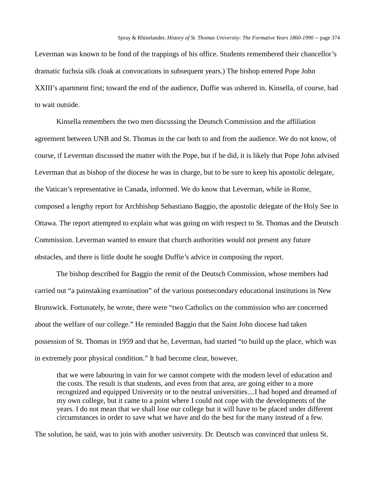Leverman was known to be fond of the trappings of his office. Students remembered their chancellor's dramatic fuchsia silk cloak at convocations in subsequent years.) The bishop entered Pope John XXIII's apartment first; toward the end of the audience, Duffie was ushered in. Kinsella, of course, had to wait outside.

Kinsella remembers the two men discussing the Deutsch Commission and the affiliation agreement between UNB and St. Thomas in the car both to and from the audience. We do not know, of course, if Leverman discussed the matter with the Pope, but if he did, it is likely that Pope John advised Leverman that as bishop of the diocese he was in charge, but to be sure to keep his apostolic delegate, the Vatican's representative in Canada, informed. We do know that Leverman, while in Rome, composed a lengthy report for Archbishop Sebastiano Baggio, the apostolic delegate of the Holy See in Ottawa. The report attempted to explain what was going on with respect to St. Thomas and the Deutsch Commission. Leverman wanted to ensure that church authorities would not present any future obstacles, and there is little doubt he sought Duffie's advice in composing the report.

The bishop described for Baggio the remit of the Deutsch Commission, whose members had carried out "a painstaking examination" of the various postsecondary educational institutions in New Brunswick. Fortunately, he wrote, there were "two Catholics on the commission who are concerned about the welfare of our college." He reminded Baggio that the Saint John diocese had taken possession of St. Thomas in 1959 and that he, Leverman, had started "to build up the place, which was in extremely poor physical condition." It had become clear, however,

that we were labouring in vain for we cannot compete with the modern level of education and the costs. The result is that students, and even from that area, are going either to a more recognized and equipped University or to the neutral universities....I had hoped and dreamed of my own college, but it came to a point where I could not cope with the developments of the years. I do not mean that we shall lose our college but it will have to be placed under different circumstances in order to save what we have and do the best for the many instead of a few.

The solution, he said, was to join with another university. Dr. Deutsch was convinced that unless St.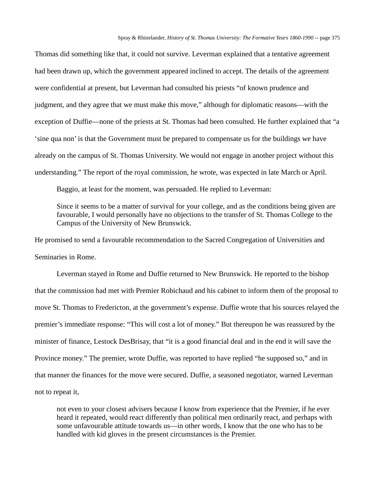Thomas did something like that, it could not survive. Leverman explained that a tentative agreement had been drawn up, which the government appeared inclined to accept. The details of the agreement were confidential at present, but Leverman had consulted his priests "of known prudence and judgment, and they agree that we must make this move," although for diplomatic reasons—with the exception of Duffie—none of the priests at St. Thomas had been consulted. He further explained that "a 'sine qua non' is that the Government must be prepared to compensate us for the buildings we have already on the campus of St. Thomas University. We would not engage in another project without this understanding." The report of the royal commission, he wrote, was expected in late March or April.

Baggio, at least for the moment, was persuaded. He replied to Leverman:

Since it seems to be a matter of survival for your college, and as the conditions being given are favourable, I would personally have no objections to the transfer of St. Thomas College to the Campus of the University of New Brunswick.

He promised to send a favourable recommendation to the Sacred Congregation of Universities and Seminaries in Rome.

Leverman stayed in Rome and Duffie returned to New Brunswick. He reported to the bishop that the commission had met with Premier Robichaud and his cabinet to inform them of the proposal to move St. Thomas to Fredericton, at the government's expense. Duffie wrote that his sources relayed the premier's immediate response: "This will cost a lot of money." But thereupon he was reassured by the minister of finance, Lestock DesBrisay, that "it is a good financial deal and in the end it will save the Province money." The premier, wrote Duffie, was reported to have replied "he supposed so," and in that manner the finances for the move were secured. Duffie, a seasoned negotiator, warned Leverman not to repeat it,

not even to your closest advisers because I know from experience that the Premier, if he ever heard it repeated, would react differently than political men ordinarily react, and perhaps with some unfavourable attitude towards us—in other words, I know that the one who has to be handled with kid gloves in the present circumstances is the Premier.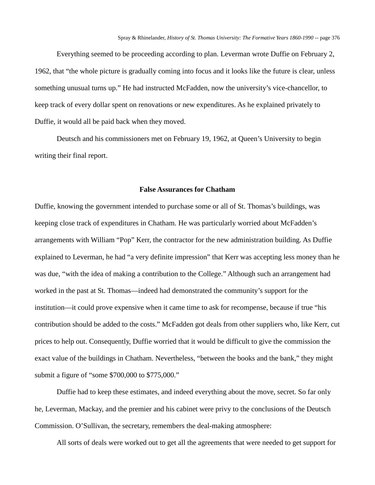Everything seemed to be proceeding according to plan. Leverman wrote Duffie on February 2, 1962, that "the whole picture is gradually coming into focus and it looks like the future is clear, unless something unusual turns up." He had instructed McFadden, now the university's vice-chancellor, to keep track of every dollar spent on renovations or new expenditures. As he explained privately to Duffie, it would all be paid back when they moved.

Deutsch and his commissioners met on February 19, 1962, at Queen's University to begin writing their final report.

#### **False Assurances for Chatham**

Duffie, knowing the government intended to purchase some or all of St. Thomas's buildings, was keeping close track of expenditures in Chatham. He was particularly worried about McFadden's arrangements with William "Pop" Kerr, the contractor for the new administration building. As Duffie explained to Leverman, he had "a very definite impression" that Kerr was accepting less money than he was due, "with the idea of making a contribution to the College." Although such an arrangement had worked in the past at St. Thomas—indeed had demonstrated the community's support for the institution—it could prove expensive when it came time to ask for recompense, because if true "his contribution should be added to the costs." McFadden got deals from other suppliers who, like Kerr, cut prices to help out. Consequently, Duffie worried that it would be difficult to give the commission the exact value of the buildings in Chatham. Nevertheless, "between the books and the bank," they might submit a figure of "some \$700,000 to \$775,000."

Duffie had to keep these estimates, and indeed everything about the move, secret. So far only he, Leverman, Mackay, and the premier and his cabinet were privy to the conclusions of the Deutsch Commission. O'Sullivan, the secretary, remembers the deal-making atmosphere:

All sorts of deals were worked out to get all the agreements that were needed to get support for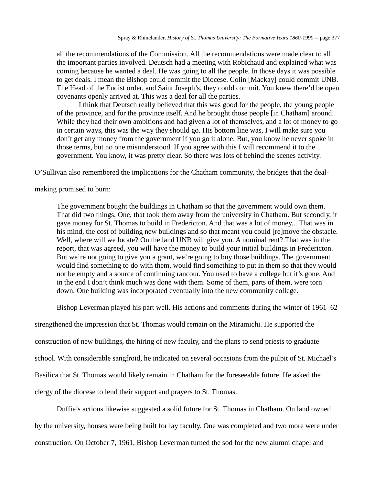all the recommendations of the Commission. All the recommendations were made clear to all the important parties involved. Deutsch had a meeting with Robichaud and explained what was coming because he wanted a deal. He was going to all the people. In those days it was possible to get deals. I mean the Bishop could commit the Diocese. Colin [Mackay] could commit UNB. The Head of the Eudist order, and Saint Joseph's, they could commit. You knew there'd be open covenants openly arrived at. This was a deal for all the parties.

I think that Deutsch really believed that this was good for the people, the young people of the province, and for the province itself. And he brought those people [in Chatham] around. While they had their own ambitions and had given a lot of themselves, and a lot of money to go in certain ways, this was the way they should go. His bottom line was, I will make sure you don't get any money from the government if you go it alone. But, you know he never spoke in those terms, but no one misunderstood. If you agree with this I will recommend it to the government. You know, it was pretty clear. So there was lots of behind the scenes activity.

O'Sullivan also remembered the implications for the Chatham community, the bridges that the deal-

making promised to burn:

The government bought the buildings in Chatham so that the government would own them. That did two things. One, that took them away from the university in Chatham. But secondly, it gave money for St. Thomas to build in Fredericton. And that was a lot of money....That was in his mind, the cost of building new buildings and so that meant you could [re]move the obstacle. Well, where will we locate? On the land UNB will give you. A nominal rent? That was in the report, that was agreed, you will have the money to build your initial buildings in Fredericton. But we're not going to give you a grant, we're going to buy those buildings. The government would find something to do with them, would find something to put in them so that they would not be empty and a source of continuing rancour. You used to have a college but it's gone. And in the end I don't think much was done with them. Some of them, parts of them, were torn down. One building was incorporated eventually into the new community college.

Bishop Leverman played his part well. His actions and comments during the winter of 1961–62

strengthened the impression that St. Thomas would remain on the Miramichi. He supported the construction of new buildings, the hiring of new faculty, and the plans to send priests to graduate school. With considerable sangfroid, he indicated on several occasions from the pulpit of St. Michael's Basilica that St. Thomas would likely remain in Chatham for the foreseeable future. He asked the clergy of the diocese to lend their support and prayers to St. Thomas.

Duffie's actions likewise suggested a solid future for St. Thomas in Chatham. On land owned by the university, houses were being built for lay faculty. One was completed and two more were under construction. On October 7, 1961, Bishop Leverman turned the sod for the new alumni chapel and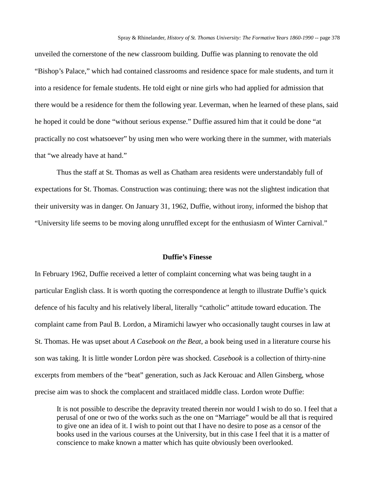unveiled the cornerstone of the new classroom building. Duffie was planning to renovate the old "Bishop's Palace," which had contained classrooms and residence space for male students, and turn it into a residence for female students. He told eight or nine girls who had applied for admission that there would be a residence for them the following year. Leverman, when he learned of these plans, said he hoped it could be done "without serious expense." Duffie assured him that it could be done "at practically no cost whatsoever" by using men who were working there in the summer, with materials that "we already have at hand."

Thus the staff at St. Thomas as well as Chatham area residents were understandably full of expectations for St. Thomas. Construction was continuing; there was not the slightest indication that their university was in danger. On January 31, 1962, Duffie, without irony, informed the bishop that "University life seems to be moving along unruffled except for the enthusiasm of Winter Carnival."

## **Duffie's Finesse**

In February 1962, Duffie received a letter of complaint concerning what was being taught in a particular English class. It is worth quoting the correspondence at length to illustrate Duffie's quick defence of his faculty and his relatively liberal, literally "catholic" attitude toward education. The complaint came from Paul B. Lordon, a Miramichi lawyer who occasionally taught courses in law at St. Thomas. He was upset about *A Casebook on the Beat*, a book being used in a literature course his son was taking. It is little wonder Lordon père was shocked. *Casebook* is a collection of thirty-nine excerpts from members of the "beat" generation, such as Jack Kerouac and Allen Ginsberg, whose precise aim was to shock the complacent and straitlaced middle class. Lordon wrote Duffie:

It is not possible to describe the depravity treated therein nor would I wish to do so. I feel that a perusal of one or two of the works such as the one on "Marriage" would be all that is required to give one an idea of it. I wish to point out that I have no desire to pose as a censor of the books used in the various courses at the University, but in this case I feel that it is a matter of conscience to make known a matter which has quite obviously been overlooked.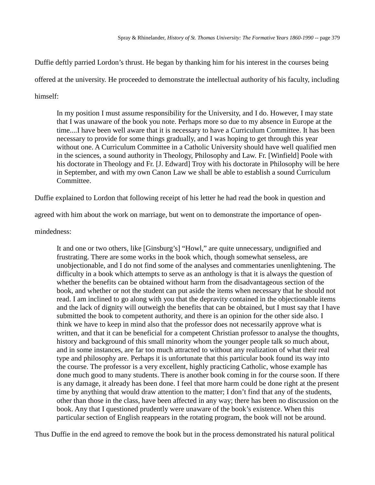Duffie deftly parried Lordon's thrust. He began by thanking him for his interest in the courses being offered at the university. He proceeded to demonstrate the intellectual authority of his faculty, including himself:

In my position I must assume responsibility for the University, and I do. However, I may state that I was unaware of the book you note. Perhaps more so due to my absence in Europe at the time....I have been well aware that it is necessary to have a Curriculum Committee. It has been necessary to provide for some things gradually, and I was hoping to get through this year without one. A Curriculum Committee in a Catholic University should have well qualified men in the sciences, a sound authority in Theology, Philosophy and Law. Fr. [Winfield] Poole with his doctorate in Theology and Fr. [J. Edward] Troy with his doctorate in Philosophy will be here in September, and with my own Canon Law we shall be able to establish a sound Curriculum Committee.

Duffie explained to Lordon that following receipt of his letter he had read the book in question and

agreed with him about the work on marriage, but went on to demonstrate the importance of open-

mindedness:

It and one or two others, like [Ginsburg's] "Howl," are quite unnecessary, undignified and frustrating. There are some works in the book which, though somewhat senseless, are unobjectionable, and I do not find some of the analyses and commentaries unenlightening. The difficulty in a book which attempts to serve as an anthology is that it is always the question of whether the benefits can be obtained without harm from the disadvantageous section of the book, and whether or not the student can put aside the items when necessary that he should not read. I am inclined to go along with you that the depravity contained in the objectionable items and the lack of dignity will outweigh the benefits that can be obtained, but I must say that I have submitted the book to competent authority, and there is an opinion for the other side also. I think we have to keep in mind also that the professor does not necessarily approve what is written, and that it can be beneficial for a competent Christian professor to analyse the thoughts, history and background of this small minority whom the younger people talk so much about, and in some instances, are far too much attracted to without any realization of what their real type and philosophy are. Perhaps it is unfortunate that this particular book found its way into the course. The professor is a very excellent, highly practicing Catholic, whose example has done much good to many students. There is another book coming in for the course soon. If there is any damage, it already has been done. I feel that more harm could be done right at the present time by anything that would draw attention to the matter; I don't find that any of the students, other than those in the class, have been affected in any way; there has been no discussion on the book. Any that I questioned prudently were unaware of the book's existence. When this particular section of English reappears in the rotating program, the book will not be around.

Thus Duffie in the end agreed to remove the book but in the process demonstrated his natural political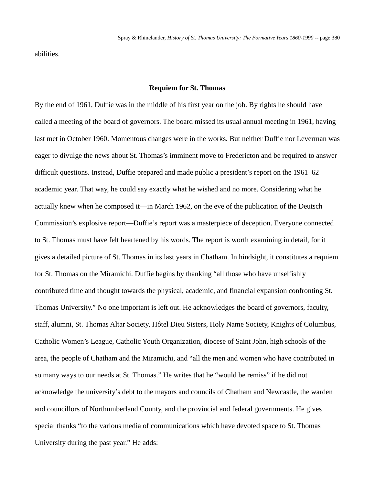abilities.

### **Requiem for St. Thomas**

By the end of 1961, Duffie was in the middle of his first year on the job. By rights he should have called a meeting of the board of governors. The board missed its usual annual meeting in 1961, having last met in October 1960. Momentous changes were in the works. But neither Duffie nor Leverman was eager to divulge the news about St. Thomas's imminent move to Fredericton and be required to answer difficult questions. Instead, Duffie prepared and made public a president's report on the 1961–62 academic year. That way, he could say exactly what he wished and no more. Considering what he actually knew when he composed it—in March 1962, on the eve of the publication of the Deutsch Commission's explosive report—Duffie's report was a masterpiece of deception. Everyone connected to St. Thomas must have felt heartened by his words. The report is worth examining in detail, for it gives a detailed picture of St. Thomas in its last years in Chatham. In hindsight, it constitutes a requiem for St. Thomas on the Miramichi. Duffie begins by thanking "all those who have unselfishly contributed time and thought towards the physical, academic, and financial expansion confronting St. Thomas University." No one important is left out. He acknowledges the board of governors, faculty, staff, alumni, St. Thomas Altar Society, Hôtel Dieu Sisters, Holy Name Society, Knights of Columbus, Catholic Women's League, Catholic Youth Organization, diocese of Saint John, high schools of the area, the people of Chatham and the Miramichi, and "all the men and women who have contributed in so many ways to our needs at St. Thomas." He writes that he "would be remiss" if he did not acknowledge the university's debt to the mayors and councils of Chatham and Newcastle, the warden and councillors of Northumberland County, and the provincial and federal governments. He gives special thanks "to the various media of communications which have devoted space to St. Thomas University during the past year." He adds: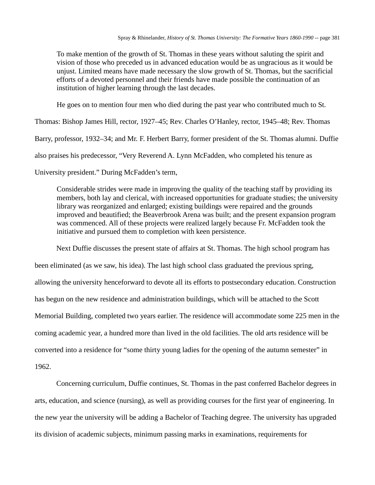To make mention of the growth of St. Thomas in these years without saluting the spirit and vision of those who preceded us in advanced education would be as ungracious as it would be unjust. Limited means have made necessary the slow growth of St. Thomas, but the sacrificial efforts of a devoted personnel and their friends have made possible the continuation of an institution of higher learning through the last decades.

He goes on to mention four men who died during the past year who contributed much to St.

Thomas: Bishop James Hill, rector, 1927–45; Rev. Charles O'Hanley, rector, 1945–48; Rev. Thomas

Barry, professor, 1932–34; and Mr. F. Herbert Barry, former president of the St. Thomas alumni. Duffie

also praises his predecessor, "Very Reverend A. Lynn McFadden, who completed his tenure as

University president." During McFadden's term,

Considerable strides were made in improving the quality of the teaching staff by providing its members, both lay and clerical, with increased opportunities for graduate studies; the university library was reorganized and enlarged; existing buildings were repaired and the grounds improved and beautified; the Beaverbrook Arena was built; and the present expansion program was commenced. All of these projects were realized largely because Fr. McFadden took the initiative and pursued them to completion with keen persistence.

Next Duffie discusses the present state of affairs at St. Thomas. The high school program has been eliminated (as we saw, his idea). The last high school class graduated the previous spring, allowing the university henceforward to devote all its efforts to postsecondary education. Construction has begun on the new residence and administration buildings, which will be attached to the Scott Memorial Building, completed two years earlier. The residence will accommodate some 225 men in the coming academic year, a hundred more than lived in the old facilities. The old arts residence will be converted into a residence for "some thirty young ladies for the opening of the autumn semester" in 1962.

Concerning curriculum, Duffie continues, St. Thomas in the past conferred Bachelor degrees in arts, education, and science (nursing), as well as providing courses for the first year of engineering. In the new year the university will be adding a Bachelor of Teaching degree. The university has upgraded its division of academic subjects, minimum passing marks in examinations, requirements for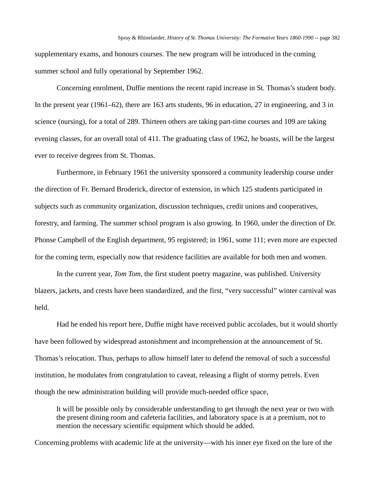supplementary exams, and honours courses. The new program will be introduced in the coming summer school and fully operational by September 1962.

Concerning enrolment, Duffie mentions the recent rapid increase in St. Thomas's student body. In the present year (1961–62), there are 163 arts students, 96 in education, 27 in engineering, and 3 in science (nursing), for a total of 289. Thirteen others are taking part-time courses and 109 are taking evening classes, for an overall total of 411. The graduating class of 1962, he boasts, will be the largest ever to receive degrees from St. Thomas.

Furthermore, in February 1961 the university sponsored a community leadership course under the direction of Fr. Bernard Broderick, director of extension, in which 125 students participated in subjects such as community organization, discussion techniques, credit unions and cooperatives, forestry, and farming. The summer school program is also growing. In 1960, under the direction of Dr. Phonse Campbell of the English department, 95 registered; in 1961, some 111; even more are expected for the coming term, especially now that residence facilities are available for both men and women.

In the current year, *Tom Tom*, the first student poetry magazine, was published. University blazers, jackets, and crests have been standardized, and the first, "very successful" winter carnival was held.

Had he ended his report here, Duffie might have received public accolades, but it would shortly have been followed by widespread astonishment and incomprehension at the announcement of St. Thomas's relocation. Thus, perhaps to allow himself later to defend the removal of such a successful institution, he modulates from congratulation to caveat, releasing a flight of stormy petrels. Even though the new administration building will provide much-needed office space,

It will be possible only by considerable understanding to get through the next year or two with the present dining room and cafeteria facilities, and laboratory space is at a premium, not to mention the necessary scientific equipment which should be added.

Concerning problems with academic life at the university—with his inner eye fixed on the lure of the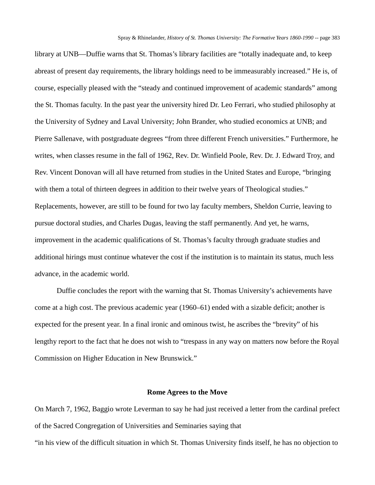library at UNB—Duffie warns that St. Thomas's library facilities are "totally inadequate and, to keep abreast of present day requirements, the library holdings need to be immeasurably increased." He is, of course, especially pleased with the "steady and continued improvement of academic standards" among the St. Thomas faculty. In the past year the university hired Dr. Leo Ferrari, who studied philosophy at the University of Sydney and Laval University; John Brander, who studied economics at UNB; and Pierre Sallenave, with postgraduate degrees "from three different French universities." Furthermore, he writes, when classes resume in the fall of 1962, Rev. Dr. Winfield Poole, Rev. Dr. J. Edward Troy, and Rev. Vincent Donovan will all have returned from studies in the United States and Europe, "bringing with them a total of thirteen degrees in addition to their twelve years of Theological studies." Replacements, however, are still to be found for two lay faculty members, Sheldon Currie, leaving to pursue doctoral studies, and Charles Dugas, leaving the staff permanently. And yet, he warns, improvement in the academic qualifications of St. Thomas's faculty through graduate studies and additional hirings must continue whatever the cost if the institution is to maintain its status, much less advance, in the academic world.

Duffie concludes the report with the warning that St. Thomas University's achievements have come at a high cost. The previous academic year (1960–61) ended with a sizable deficit; another is expected for the present year. In a final ironic and ominous twist, he ascribes the "brevity" of his lengthy report to the fact that he does not wish to "trespass in any way on matters now before the Royal Commission on Higher Education in New Brunswick."

#### **Rome Agrees to the Move**

On March 7, 1962, Baggio wrote Leverman to say he had just received a letter from the cardinal prefect of the Sacred Congregation of Universities and Seminaries saying that

"in his view of the difficult situation in which St. Thomas University finds itself, he has no objection to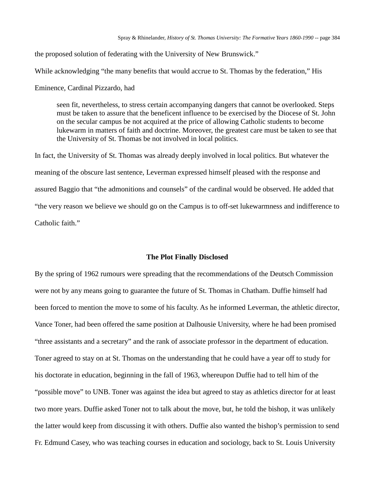the proposed solution of federating with the University of New Brunswick."

While acknowledging "the many benefits that would accrue to St. Thomas by the federation," His

Eminence, Cardinal Pizzardo, had

seen fit, nevertheless, to stress certain accompanying dangers that cannot be overlooked. Steps must be taken to assure that the beneficent influence to be exercised by the Diocese of St. John on the secular campus be not acquired at the price of allowing Catholic students to become lukewarm in matters of faith and doctrine. Moreover, the greatest care must be taken to see that the University of St. Thomas be not involved in local politics.

In fact, the University of St. Thomas was already deeply involved in local politics. But whatever the meaning of the obscure last sentence, Leverman expressed himself pleased with the response and assured Baggio that "the admonitions and counsels" of the cardinal would be observed. He added that "the very reason we believe we should go on the Campus is to off-set lukewarmness and indifference to Catholic faith."

#### **The Plot Finally Disclosed**

By the spring of 1962 rumours were spreading that the recommendations of the Deutsch Commission were not by any means going to guarantee the future of St. Thomas in Chatham. Duffie himself had been forced to mention the move to some of his faculty. As he informed Leverman, the athletic director, Vance Toner, had been offered the same position at Dalhousie University, where he had been promised "three assistants and a secretary" and the rank of associate professor in the department of education. Toner agreed to stay on at St. Thomas on the understanding that he could have a year off to study for his doctorate in education, beginning in the fall of 1963, whereupon Duffie had to tell him of the "possible move" to UNB. Toner was against the idea but agreed to stay as athletics director for at least two more years. Duffie asked Toner not to talk about the move, but, he told the bishop, it was unlikely the latter would keep from discussing it with others. Duffie also wanted the bishop's permission to send Fr. Edmund Casey, who was teaching courses in education and sociology, back to St. Louis University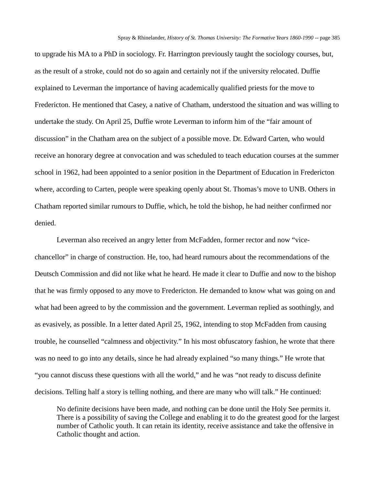to upgrade his MA to a PhD in sociology. Fr. Harrington previously taught the sociology courses, but, as the result of a stroke, could not do so again and certainly not if the university relocated. Duffie explained to Leverman the importance of having academically qualified priests for the move to Fredericton. He mentioned that Casey, a native of Chatham, understood the situation and was willing to undertake the study. On April 25, Duffie wrote Leverman to inform him of the "fair amount of discussion" in the Chatham area on the subject of a possible move. Dr. Edward Carten, who would receive an honorary degree at convocation and was scheduled to teach education courses at the summer school in 1962, had been appointed to a senior position in the Department of Education in Fredericton where, according to Carten, people were speaking openly about St. Thomas's move to UNB. Others in Chatham reported similar rumours to Duffie, which, he told the bishop, he had neither confirmed nor denied.

Leverman also received an angry letter from McFadden, former rector and now "vicechancellor" in charge of construction. He, too, had heard rumours about the recommendations of the Deutsch Commission and did not like what he heard. He made it clear to Duffie and now to the bishop that he was firmly opposed to any move to Fredericton. He demanded to know what was going on and what had been agreed to by the commission and the government. Leverman replied as soothingly, and as evasively, as possible. In a letter dated April 25, 1962, intending to stop McFadden from causing trouble, he counselled "calmness and objectivity." In his most obfuscatory fashion, he wrote that there was no need to go into any details, since he had already explained "so many things." He wrote that "you cannot discuss these questions with all the world," and he was "not ready to discuss definite decisions. Telling half a story is telling nothing, and there are many who will talk." He continued:

No definite decisions have been made, and nothing can be done until the Holy See permits it. There is a possibility of saving the College and enabling it to do the greatest good for the largest number of Catholic youth. It can retain its identity, receive assistance and take the offensive in Catholic thought and action.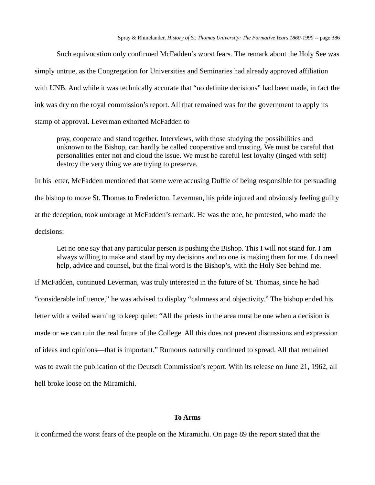Such equivocation only confirmed McFadden's worst fears. The remark about the Holy See was simply untrue, as the Congregation for Universities and Seminaries had already approved affiliation with UNB. And while it was technically accurate that "no definite decisions" had been made, in fact the ink was dry on the royal commission's report. All that remained was for the government to apply its stamp of approval. Leverman exhorted McFadden to

pray, cooperate and stand together. Interviews, with those studying the possibilities and unknown to the Bishop, can hardly be called cooperative and trusting. We must be careful that personalities enter not and cloud the issue. We must be careful lest loyalty (tinged with self) destroy the very thing we are trying to preserve.

In his letter, McFadden mentioned that some were accusing Duffie of being responsible for persuading the bishop to move St. Thomas to Fredericton. Leverman, his pride injured and obviously feeling guilty at the deception, took umbrage at McFadden's remark. He was the one, he protested, who made the decisions:

Let no one say that any particular person is pushing the Bishop. This I will not stand for. I am always willing to make and stand by my decisions and no one is making them for me. I do need help, advice and counsel, but the final word is the Bishop's, with the Holy See behind me.

If McFadden, continued Leverman, was truly interested in the future of St. Thomas, since he had "considerable influence," he was advised to display "calmness and objectivity." The bishop ended his letter with a veiled warning to keep quiet: "All the priests in the area must be one when a decision is made or we can ruin the real future of the College. All this does not prevent discussions and expression of ideas and opinions—that is important." Rumours naturally continued to spread. All that remained was to await the publication of the Deutsch Commission's report. With its release on June 21, 1962, all hell broke loose on the Miramichi.

### **To Arms**

It confirmed the worst fears of the people on the Miramichi. On page 89 the report stated that the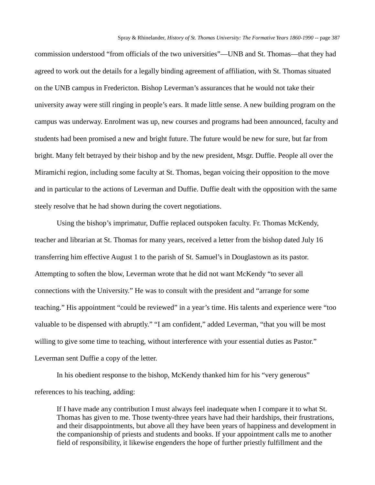commission understood "from officials of the two universities"—UNB and St. Thomas—that they had agreed to work out the details for a legally binding agreement of affiliation, with St. Thomas situated on the UNB campus in Fredericton. Bishop Leverman's assurances that he would not take their university away were still ringing in people's ears. It made little sense. A new building program on the campus was underway. Enrolment was up, new courses and programs had been announced, faculty and students had been promised a new and bright future. The future would be new for sure, but far from bright. Many felt betrayed by their bishop and by the new president, Msgr. Duffie. People all over the Miramichi region, including some faculty at St. Thomas, began voicing their opposition to the move and in particular to the actions of Leverman and Duffie. Duffie dealt with the opposition with the same steely resolve that he had shown during the covert negotiations.

Using the bishop's imprimatur, Duffie replaced outspoken faculty. Fr. Thomas McKendy, teacher and librarian at St. Thomas for many years, received a letter from the bishop dated July 16 transferring him effective August 1 to the parish of St. Samuel's in Douglastown as its pastor. Attempting to soften the blow, Leverman wrote that he did not want McKendy "to sever all connections with the University." He was to consult with the president and "arrange for some teaching." His appointment "could be reviewed" in a year's time. His talents and experience were "too valuable to be dispensed with abruptly." "I am confident," added Leverman, "that you will be most willing to give some time to teaching, without interference with your essential duties as Pastor." Leverman sent Duffie a copy of the letter.

In his obedient response to the bishop, McKendy thanked him for his "very generous" references to his teaching, adding:

If I have made any contribution I must always feel inadequate when I compare it to what St. Thomas has given to me. Those twenty-three years have had their hardships, their frustrations, and their disappointments, but above all they have been years of happiness and development in the companionship of priests and students and books. If your appointment calls me to another field of responsibility, it likewise engenders the hope of further priestly fulfillment and the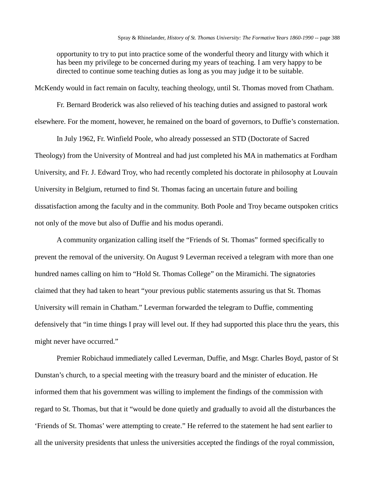opportunity to try to put into practice some of the wonderful theory and liturgy with which it has been my privilege to be concerned during my years of teaching. I am very happy to be directed to continue some teaching duties as long as you may judge it to be suitable.

McKendy would in fact remain on faculty, teaching theology, until St. Thomas moved from Chatham.

Fr. Bernard Broderick was also relieved of his teaching duties and assigned to pastoral work elsewhere. For the moment, however, he remained on the board of governors, to Duffie's consternation.

In July 1962, Fr. Winfield Poole, who already possessed an STD (Doctorate of Sacred Theology) from the University of Montreal and had just completed his MA in mathematics at Fordham University, and Fr. J. Edward Troy, who had recently completed his doctorate in philosophy at Louvain University in Belgium, returned to find St. Thomas facing an uncertain future and boiling dissatisfaction among the faculty and in the community. Both Poole and Troy became outspoken critics not only of the move but also of Duffie and his modus operandi.

A community organization calling itself the "Friends of St. Thomas" formed specifically to prevent the removal of the university. On August 9 Leverman received a telegram with more than one hundred names calling on him to "Hold St. Thomas College" on the Miramichi. The signatories claimed that they had taken to heart "your previous public statements assuring us that St. Thomas University will remain in Chatham." Leverman forwarded the telegram to Duffie, commenting defensively that "in time things I pray will level out. If they had supported this place thru the years, this might never have occurred."

Premier Robichaud immediately called Leverman, Duffie, and Msgr. Charles Boyd, pastor of St Dunstan's church, to a special meeting with the treasury board and the minister of education. He informed them that his government was willing to implement the findings of the commission with regard to St. Thomas, but that it "would be done quietly and gradually to avoid all the disturbances the 'Friends of St. Thomas' were attempting to create." He referred to the statement he had sent earlier to all the university presidents that unless the universities accepted the findings of the royal commission,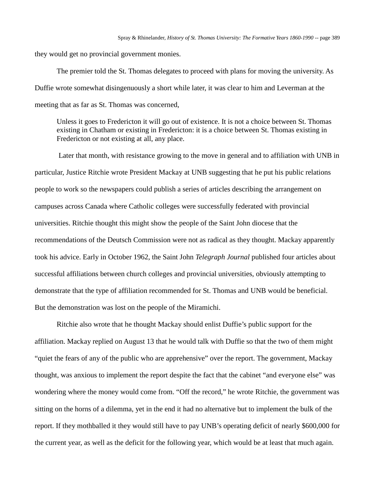they would get no provincial government monies.

The premier told the St. Thomas delegates to proceed with plans for moving the university. As Duffie wrote somewhat disingenuously a short while later, it was clear to him and Leverman at the meeting that as far as St. Thomas was concerned,

Unless it goes to Fredericton it will go out of existence. It is not a choice between St. Thomas existing in Chatham or existing in Fredericton: it is a choice between St. Thomas existing in Fredericton or not existing at all, any place.

Later that month, with resistance growing to the move in general and to affiliation with UNB in particular, Justice Ritchie wrote President Mackay at UNB suggesting that he put his public relations people to work so the newspapers could publish a series of articles describing the arrangement on campuses across Canada where Catholic colleges were successfully federated with provincial universities. Ritchie thought this might show the people of the Saint John diocese that the recommendations of the Deutsch Commission were not as radical as they thought. Mackay apparently took his advice. Early in October 1962, the Saint John *Telegraph Journal* published four articles about successful affiliations between church colleges and provincial universities, obviously attempting to demonstrate that the type of affiliation recommended for St. Thomas and UNB would be beneficial. But the demonstration was lost on the people of the Miramichi.

Ritchie also wrote that he thought Mackay should enlist Duffie's public support for the affiliation. Mackay replied on August 13 that he would talk with Duffie so that the two of them might "quiet the fears of any of the public who are apprehensive" over the report. The government, Mackay thought, was anxious to implement the report despite the fact that the cabinet "and everyone else" was wondering where the money would come from. "Off the record," he wrote Ritchie, the government was sitting on the horns of a dilemma, yet in the end it had no alternative but to implement the bulk of the report. If they mothballed it they would still have to pay UNB's operating deficit of nearly \$600,000 for the current year, as well as the deficit for the following year, which would be at least that much again.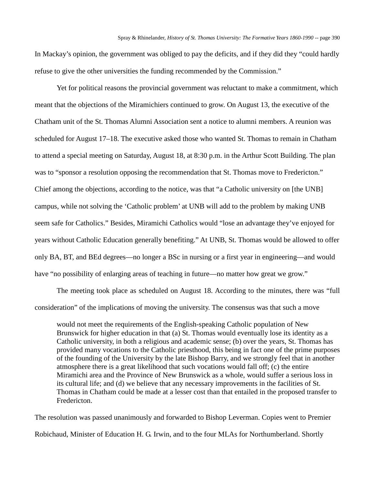In Mackay's opinion, the government was obliged to pay the deficits, and if they did they "could hardly refuse to give the other universities the funding recommended by the Commission."

Yet for political reasons the provincial government was reluctant to make a commitment, which meant that the objections of the Miramichiers continued to grow. On August 13, the executive of the Chatham unit of the St. Thomas Alumni Association sent a notice to alumni members. A reunion was scheduled for August 17–18. The executive asked those who wanted St. Thomas to remain in Chatham to attend a special meeting on Saturday, August 18, at 8:30 p.m. in the Arthur Scott Building. The plan was to "sponsor a resolution opposing the recommendation that St. Thomas move to Fredericton." Chief among the objections, according to the notice, was that "a Catholic university on [the UNB] campus, while not solving the 'Catholic problem' at UNB will add to the problem by making UNB seem safe for Catholics." Besides, Miramichi Catholics would "lose an advantage they've enjoyed for years without Catholic Education generally benefiting." At UNB, St. Thomas would be allowed to offer only BA, BT, and BEd degrees—no longer a BSc in nursing or a first year in engineering—and would have "no possibility of enlarging areas of teaching in future—no matter how great we grow."

The meeting took place as scheduled on August 18. According to the minutes, there was "full consideration" of the implications of moving the university. The consensus was that such a move

would not meet the requirements of the English-speaking Catholic population of New Brunswick for higher education in that (a) St. Thomas would eventually lose its identity as a Catholic university, in both a religious and academic sense; (b) over the years, St. Thomas has provided many vocations to the Catholic priesthood, this being in fact one of the prime purposes of the founding of the University by the late Bishop Barry, and we strongly feel that in another atmosphere there is a great likelihood that such vocations would fall off; (c) the entire Miramichi area and the Province of New Brunswick as a whole, would suffer a serious loss in its cultural life; and (d) we believe that any necessary improvements in the facilities of St. Thomas in Chatham could be made at a lesser cost than that entailed in the proposed transfer to Fredericton.

The resolution was passed unanimously and forwarded to Bishop Leverman. Copies went to Premier Robichaud, Minister of Education H. G. Irwin, and to the four MLAs for Northumberland. Shortly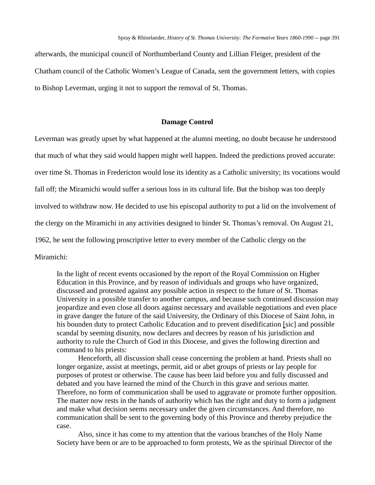afterwards, the municipal council of Northumberland County and Lillian Fleiger, president of the Chatham council of the Catholic Women's League of Canada, sent the government letters, with copies to Bishop Leverman, urging it not to support the removal of St. Thomas.

#### **Damage Control**

Leverman was greatly upset by what happened at the alumni meeting, no doubt because he understood that much of what they said would happen might well happen. Indeed the predictions proved accurate: over time St. Thomas in Fredericton would lose its identity as a Catholic university; its vocations would fall off; the Miramichi would suffer a serious loss in its cultural life. But the bishop was too deeply involved to withdraw now. He decided to use his episcopal authority to put a lid on the involvement of the clergy on the Miramichi in any activities designed to hinder St. Thomas's removal. On August 21, 1962, he sent the following proscriptive letter to every member of the Catholic clergy on the

In the light of recent events occasioned by the report of the Royal Commission on Higher Education in this Province, and by reason of individuals and groups who have organized, discussed and protested against any possible action in respect to the future of St. Thomas University in a possible transfer to another campus, and because such continued discussion may jeopardize and even close all doors against necessary and available negotiations and even place in grave danger the future of the said University, the Ordinary of this Diocese of Saint John, in his bounden duty to protect Catholic Education and to prevent disedification [sic] and possible scandal by seeming disunity, now declares and decrees by reason of his jurisdiction and authority to rule the Church of God in this Diocese, and gives the following direction and command to his priests:

Henceforth, all discussion shall cease concerning the problem at hand. Priests shall no longer organize, assist at meetings, permit, aid or abet groups of priests or lay people for purposes of protest or otherwise. The cause has been laid before you and fully discussed and debated and you have learned the mind of the Church in this grave and serious matter. Therefore, no form of communication shall be used to aggravate or promote further opposition. The matter now rests in the hands of authority which has the right and duty to form a judgment and make what decision seems necessary under the given circumstances. And therefore, no communication shall be sent to the governing body of this Province and thereby prejudice the case.

Also, since it has come to my attention that the various branches of the Holy Name Society have been or are to be approached to form protests, We as the spiritual Director of the

Miramichi: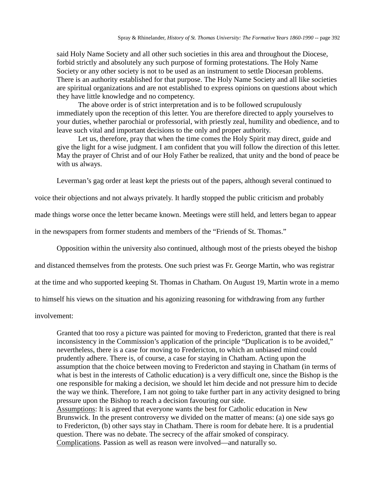said Holy Name Society and all other such societies in this area and throughout the Diocese, forbid strictly and absolutely any such purpose of forming protestations. The Holy Name Society or any other society is not to be used as an instrument to settle Diocesan problems. There is an authority established for that purpose. The Holy Name Society and all like societies are spiritual organizations and are not established to express opinions on questions about which they have little knowledge and no competency.

The above order is of strict interpretation and is to be followed scrupulously immediately upon the reception of this letter. You are therefore directed to apply yourselves to your duties, whether parochial or professorial, with priestly zeal, humility and obedience, and to leave such vital and important decisions to the only and proper authority.

Let us, therefore, pray that when the time comes the Holy Spirit may direct, guide and give the light for a wise judgment. I am confident that you will follow the direction of this letter. May the prayer of Christ and of our Holy Father be realized, that unity and the bond of peace be with us always.

Leverman's gag order at least kept the priests out of the papers, although several continued to

voice their objections and not always privately. It hardly stopped the public criticism and probably

made things worse once the letter became known. Meetings were still held, and letters began to appear

in the newspapers from former students and members of the "Friends of St. Thomas."

Opposition within the university also continued, although most of the priests obeyed the bishop

and distanced themselves from the protests. One such priest was Fr. George Martin, who was registrar

at the time and who supported keeping St. Thomas in Chatham. On August 19, Martin wrote in a memo

to himself his views on the situation and his agonizing reasoning for withdrawing from any further

involvement:

Granted that too rosy a picture was painted for moving to Fredericton, granted that there is real inconsistency in the Commission's application of the principle "Duplication is to be avoided," nevertheless, there is a case for moving to Fredericton, to which an unbiased mind could prudently adhere. There is, of course, a case for staying in Chatham. Acting upon the assumption that the choice between moving to Fredericton and staying in Chatham (in terms of what is best in the interests of Catholic education) is a very difficult one, since the Bishop is the one responsible for making a decision, we should let him decide and not pressure him to decide the way we think. Therefore, I am not going to take further part in any activity designed to bring pressure upon the Bishop to reach a decision favouring our side. Assumptions: It is agreed that everyone wants the best for Catholic education in New Brunswick. In the present controversy we divided on the matter of means: (a) one side says go to Fredericton, (b) other says stay in Chatham. There is room for debate here. It is a prudential question. There was no debate. The secrecy of the affair smoked of conspiracy. Complications. Passion as well as reason were involved—and naturally so.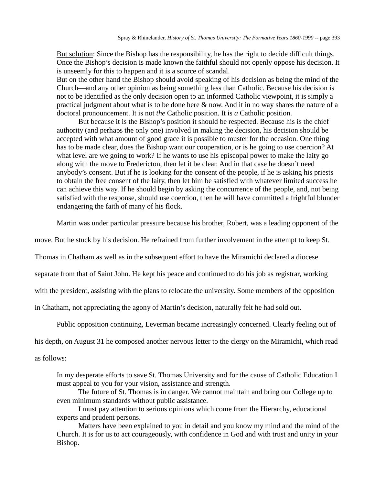But solution: Since the Bishop has the responsibility, he has the right to decide difficult things. Once the Bishop's decision is made known the faithful should not openly oppose his decision. It is unseemly for this to happen and it is a source of scandal.

But on the other hand the Bishop should avoid speaking of his decision as being the mind of the Church—and any other opinion as being something less than Catholic. Because his decision is not to be identified as the only decision open to an informed Catholic viewpoint, it is simply a practical judgment about what is to be done here & now. And it in no way shares the nature of a doctoral pronouncement. It is not *the* Catholic position. It is *a* Catholic position.

But because it is the Bishop's position it should be respected. Because his is the chief authority (and perhaps the only one) involved in making the decision, his decision should be accepted with what amount of good grace it is possible to muster for the occasion. One thing has to be made clear, does the Bishop want our cooperation, or is he going to use coercion? At what level are we going to work? If he wants to use his episcopal power to make the laity go along with the move to Fredericton, then let it be clear. And in that case he doesn't need anybody's consent. But if he is looking for the consent of the people, if he is asking his priests to obtain the free consent of the laity, then let him be satisfied with whatever limited success he can achieve this way. If he should begin by asking the concurrence of the people, and, not being satisfied with the response, should use coercion, then he will have committed a frightful blunder endangering the faith of many of his flock.

Martin was under particular pressure because his brother, Robert, was a leading opponent of the

move. But he stuck by his decision. He refrained from further involvement in the attempt to keep St.

Thomas in Chatham as well as in the subsequent effort to have the Miramichi declared a diocese

separate from that of Saint John. He kept his peace and continued to do his job as registrar, working

with the president, assisting with the plans to relocate the university. Some members of the opposition

in Chatham, not appreciating the agony of Martin's decision, naturally felt he had sold out.

Public opposition continuing, Leverman became increasingly concerned. Clearly feeling out of

his depth, on August 31 he composed another nervous letter to the clergy on the Miramichi, which read

as follows:

In my desperate efforts to save St. Thomas University and for the cause of Catholic Education I must appeal to you for your vision, assistance and strength.

The future of St. Thomas is in danger. We cannot maintain and bring our College up to even minimum standards without public assistance.

I must pay attention to serious opinions which come from the Hierarchy, educational experts and prudent persons.

Matters have been explained to you in detail and you know my mind and the mind of the Church. It is for us to act courageously, with confidence in God and with trust and unity in your Bishop.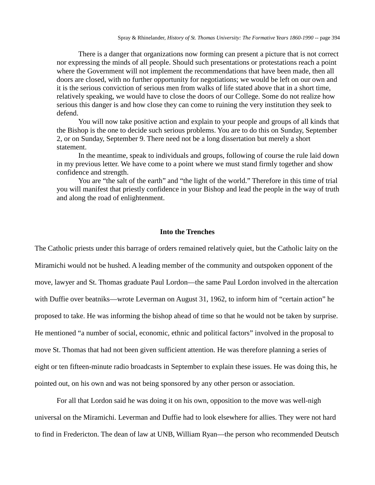There is a danger that organizations now forming can present a picture that is not correct nor expressing the minds of all people. Should such presentations or protestations reach a point where the Government will not implement the recommendations that have been made, then all doors are closed, with no further opportunity for negotiations; we would be left on our own and it is the serious conviction of serious men from walks of life stated above that in a short time, relatively speaking, we would have to close the doors of our College. Some do not realize how serious this danger is and how close they can come to ruining the very institution they seek to defend.

You will now take positive action and explain to your people and groups of all kinds that the Bishop is the one to decide such serious problems. You are to do this on Sunday, September 2, or on Sunday, September 9. There need not be a long dissertation but merely a short statement.

In the meantime, speak to individuals and groups, following of course the rule laid down in my previous letter. We have come to a point where we must stand firmly together and show confidence and strength.

You are "the salt of the earth" and "the light of the world." Therefore in this time of trial you will manifest that priestly confidence in your Bishop and lead the people in the way of truth and along the road of enlightenment.

### **Into the Trenches**

The Catholic priests under this barrage of orders remained relatively quiet, but the Catholic laity on the Miramichi would not be hushed. A leading member of the community and outspoken opponent of the move, lawyer and St. Thomas graduate Paul Lordon—the same Paul Lordon involved in the altercation with Duffie over beatniks—wrote Leverman on August 31, 1962, to inform him of "certain action" he proposed to take. He was informing the bishop ahead of time so that he would not be taken by surprise. He mentioned "a number of social, economic, ethnic and political factors" involved in the proposal to move St. Thomas that had not been given sufficient attention. He was therefore planning a series of eight or ten fifteen-minute radio broadcasts in September to explain these issues. He was doing this, he pointed out, on his own and was not being sponsored by any other person or association.

For all that Lordon said he was doing it on his own, opposition to the move was well-nigh universal on the Miramichi. Leverman and Duffie had to look elsewhere for allies. They were not hard to find in Fredericton. The dean of law at UNB, William Ryan—the person who recommended Deutsch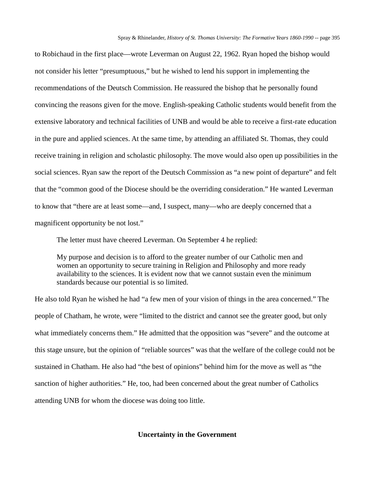to Robichaud in the first place—wrote Leverman on August 22, 1962. Ryan hoped the bishop would not consider his letter "presumptuous," but he wished to lend his support in implementing the recommendations of the Deutsch Commission. He reassured the bishop that he personally found convincing the reasons given for the move. English-speaking Catholic students would benefit from the extensive laboratory and technical facilities of UNB and would be able to receive a first-rate education in the pure and applied sciences. At the same time, by attending an affiliated St. Thomas, they could receive training in religion and scholastic philosophy. The move would also open up possibilities in the social sciences. Ryan saw the report of the Deutsch Commission as "a new point of departure" and felt that the "common good of the Diocese should be the overriding consideration." He wanted Leverman to know that "there are at least some—and, I suspect, many—who are deeply concerned that a magnificent opportunity be not lost."

The letter must have cheered Leverman. On September 4 he replied:

My purpose and decision is to afford to the greater number of our Catholic men and women an opportunity to secure training in Religion and Philosophy and more ready availability to the sciences. It is evident now that we cannot sustain even the minimum standards because our potential is so limited.

He also told Ryan he wished he had "a few men of your vision of things in the area concerned." The people of Chatham, he wrote, were "limited to the district and cannot see the greater good, but only what immediately concerns them." He admitted that the opposition was "severe" and the outcome at this stage unsure, but the opinion of "reliable sources" was that the welfare of the college could not be sustained in Chatham. He also had "the best of opinions" behind him for the move as well as "the sanction of higher authorities." He, too, had been concerned about the great number of Catholics attending UNB for whom the diocese was doing too little.

## **Uncertainty in the Government**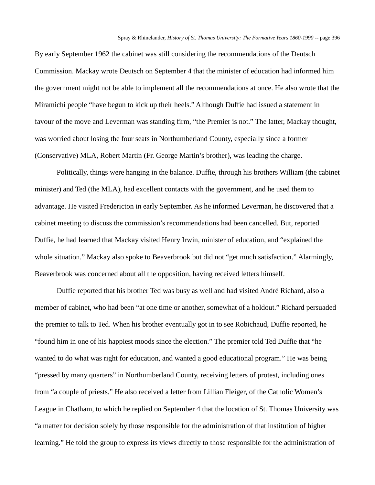By early September 1962 the cabinet was still considering the recommendations of the Deutsch Commission. Mackay wrote Deutsch on September 4 that the minister of education had informed him the government might not be able to implement all the recommendations at once. He also wrote that the Miramichi people "have begun to kick up their heels." Although Duffie had issued a statement in favour of the move and Leverman was standing firm, "the Premier is not." The latter, Mackay thought, was worried about losing the four seats in Northumberland County, especially since a former (Conservative) MLA, Robert Martin (Fr. George Martin's brother), was leading the charge.

Politically, things were hanging in the balance. Duffie, through his brothers William (the cabinet minister) and Ted (the MLA), had excellent contacts with the government, and he used them to advantage. He visited Fredericton in early September. As he informed Leverman, he discovered that a cabinet meeting to discuss the commission's recommendations had been cancelled. But, reported Duffie, he had learned that Mackay visited Henry Irwin, minister of education, and "explained the whole situation." Mackay also spoke to Beaverbrook but did not "get much satisfaction." Alarmingly, Beaverbrook was concerned about all the opposition, having received letters himself.

Duffie reported that his brother Ted was busy as well and had visited André Richard, also a member of cabinet, who had been "at one time or another, somewhat of a holdout." Richard persuaded the premier to talk to Ted. When his brother eventually got in to see Robichaud, Duffie reported, he "found him in one of his happiest moods since the election." The premier told Ted Duffie that "he wanted to do what was right for education, and wanted a good educational program." He was being "pressed by many quarters" in Northumberland County, receiving letters of protest, including ones from "a couple of priests." He also received a letter from Lillian Fleiger, of the Catholic Women's League in Chatham, to which he replied on September 4 that the location of St. Thomas University was "a matter for decision solely by those responsible for the administration of that institution of higher learning." He told the group to express its views directly to those responsible for the administration of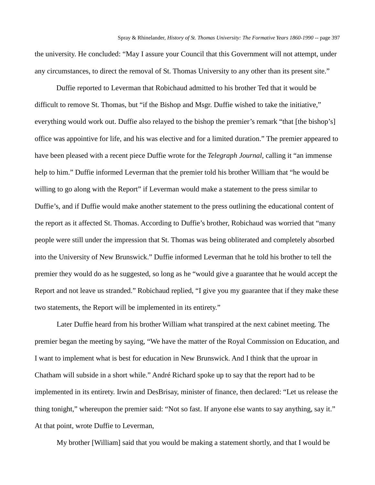the university. He concluded: "May I assure your Council that this Government will not attempt, under any circumstances, to direct the removal of St. Thomas University to any other than its present site."

Duffie reported to Leverman that Robichaud admitted to his brother Ted that it would be difficult to remove St. Thomas, but "if the Bishop and Msgr. Duffie wished to take the initiative," everything would work out. Duffie also relayed to the bishop the premier's remark "that [the bishop's] office was appointive for life, and his was elective and for a limited duration." The premier appeared to have been pleased with a recent piece Duffie wrote for the *Telegraph Journal,* calling it "an immense help to him." Duffie informed Leverman that the premier told his brother William that "he would be willing to go along with the Report" if Leverman would make a statement to the press similar to Duffie's, and if Duffie would make another statement to the press outlining the educational content of the report as it affected St. Thomas. According to Duffie's brother, Robichaud was worried that "many people were still under the impression that St. Thomas was being obliterated and completely absorbed into the University of New Brunswick." Duffie informed Leverman that he told his brother to tell the premier they would do as he suggested, so long as he "would give a guarantee that he would accept the Report and not leave us stranded." Robichaud replied, "I give you my guarantee that if they make these two statements, the Report will be implemented in its entirety."

Later Duffie heard from his brother William what transpired at the next cabinet meeting. The premier began the meeting by saying, "We have the matter of the Royal Commission on Education, and I want to implement what is best for education in New Brunswick. And I think that the uproar in Chatham will subside in a short while." André Richard spoke up to say that the report had to be implemented in its entirety. Irwin and DesBrisay, minister of finance, then declared: "Let us release the thing tonight," whereupon the premier said: "Not so fast. If anyone else wants to say anything, say it." At that point, wrote Duffie to Leverman,

My brother [William] said that you would be making a statement shortly, and that I would be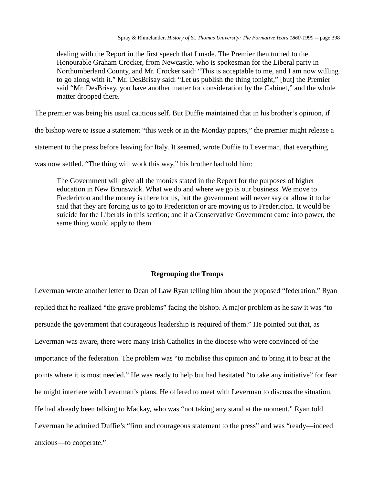dealing with the Report in the first speech that I made. The Premier then turned to the Honourable Graham Crocker, from Newcastle, who is spokesman for the Liberal party in Northumberland County, and Mr. Crocker said: "This is acceptable to me, and I am now willing to go along with it." Mr. DesBrisay said: "Let us publish the thing tonight," [but] the Premier said "Mr. DesBrisay, you have another matter for consideration by the Cabinet," and the whole matter dropped there.

The premier was being his usual cautious self. But Duffie maintained that in his brother's opinion, if

the bishop were to issue a statement "this week or in the Monday papers," the premier might release a

statement to the press before leaving for Italy. It seemed, wrote Duffie to Leverman, that everything

was now settled. "The thing will work this way," his brother had told him:

The Government will give all the monies stated in the Report for the purposes of higher education in New Brunswick. What we do and where we go is our business. We move to Fredericton and the money is there for us, but the government will never say or allow it to be said that they are forcing us to go to Fredericton or are moving us to Fredericton. It would be suicide for the Liberals in this section; and if a Conservative Government came into power, the same thing would apply to them.

### **Regrouping the Troops**

Leverman wrote another letter to Dean of Law Ryan telling him about the proposed "federation." Ryan replied that he realized "the grave problems" facing the bishop. A major problem as he saw it was "to persuade the government that courageous leadership is required of them." He pointed out that, as Leverman was aware, there were many Irish Catholics in the diocese who were convinced of the importance of the federation. The problem was "to mobilise this opinion and to bring it to bear at the points where it is most needed." He was ready to help but had hesitated "to take any initiative" for fear he might interfere with Leverman's plans. He offered to meet with Leverman to discuss the situation. He had already been talking to Mackay, who was "not taking any stand at the moment." Ryan told Leverman he admired Duffie's "firm and courageous statement to the press" and was "ready—indeed anxious—to cooperate."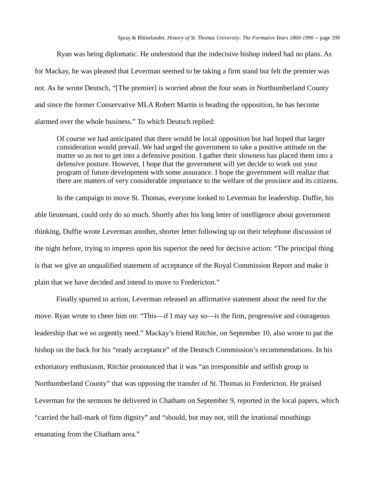Ryan was being diplomatic. He understood that the indecisive bishop indeed had no plans. As for Mackay, he was pleased that Leverman seemed to be taking a firm stand but felt the premier was not. As he wrote Deutsch, "[The premier] is worried about the four seats in Northumberland County and since the former Conservative MLA Robert Martin is heading the opposition, he has become alarmed over the whole business." To which Deutsch replied:

Of course we had anticipated that there would be local opposition but had hoped that larger consideration would prevail. We had urged the government to take a positive attitude on the matter so as not to get into a defensive position. I gather their slowness has placed them into a defensive posture. However, I hope that the government will yet decide to work out your program of future development with some assurance. I hope the government will realize that there are matters of very considerable importance to the welfare of the province and its citizens.

In the campaign to move St. Thomas, everyone looked to Leverman for leadership. Duffie, his able lieutenant, could only do so much. Shortly after his long letter of intelligence about government thinking, Duffie wrote Leverman another, shorter letter following up on their telephone discussion of the night before, trying to impress upon his superior the need for decisive action: "The principal thing is that we give an unqualified statement of acceptance of the Royal Commission Report and make it plain that we have decided and intend to move to Fredericton."

Finally spurred to action, Leverman released an affirmative statement about the need for the move. Ryan wrote to cheer him on: "This—if I may say so—is the firm, progressive and courageous leadership that we so urgently need." Mackay's friend Ritchie, on September 10, also wrote to pat the bishop on the back for his "ready acceptance" of the Deutsch Commission's recommendations. In his exhortatory enthusiasm, Ritchie pronounced that it was "an irresponsible and selfish group in Northumberland County" that was opposing the transfer of St. Thomas to Fredericton. He praised Leverman for the sermons he delivered in Chatham on September 9, reported in the local papers, which "carried the hall-mark of firm dignity" and "should, but may not, still the irrational mouthings emanating from the Chatham area."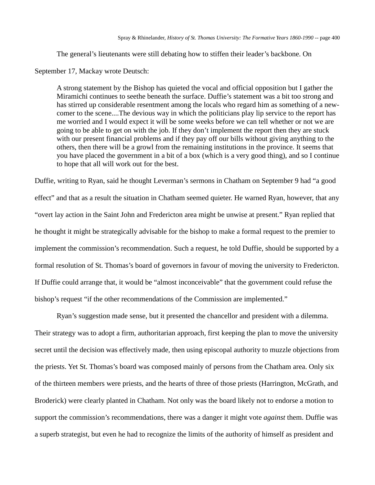The general's lieutenants were still debating how to stiffen their leader's backbone. On

September 17, Mackay wrote Deutsch:

A strong statement by the Bishop has quieted the vocal and official opposition but I gather the Miramichi continues to seethe beneath the surface. Duffie's statement was a bit too strong and has stirred up considerable resentment among the locals who regard him as something of a newcomer to the scene....The devious way in which the politicians play lip service to the report has me worried and I would expect it will be some weeks before we can tell whether or not we are going to be able to get on with the job. If they don't implement the report then they are stuck with our present financial problems and if they pay off our bills without giving anything to the others, then there will be a growl from the remaining institutions in the province. It seems that you have placed the government in a bit of a box (which is a very good thing), and so I continue to hope that all will work out for the best.

Duffie, writing to Ryan, said he thought Leverman's sermons in Chatham on September 9 had "a good effect" and that as a result the situation in Chatham seemed quieter. He warned Ryan, however, that any "overt lay action in the Saint John and Fredericton area might be unwise at present." Ryan replied that he thought it might be strategically advisable for the bishop to make a formal request to the premier to implement the commission's recommendation. Such a request, he told Duffie, should be supported by a formal resolution of St. Thomas's board of governors in favour of moving the university to Fredericton. If Duffie could arrange that, it would be "almost inconceivable" that the government could refuse the bishop's request "if the other recommendations of the Commission are implemented."

Ryan's suggestion made sense, but it presented the chancellor and president with a dilemma. Their strategy was to adopt a firm, authoritarian approach, first keeping the plan to move the university secret until the decision was effectively made, then using episcopal authority to muzzle objections from the priests. Yet St. Thomas's board was composed mainly of persons from the Chatham area. Only six of the thirteen members were priests, and the hearts of three of those priests (Harrington, McGrath, and Broderick) were clearly planted in Chatham. Not only was the board likely not to endorse a motion to support the commission's recommendations, there was a danger it might vote *against* them. Duffie was a superb strategist, but even he had to recognize the limits of the authority of himself as president and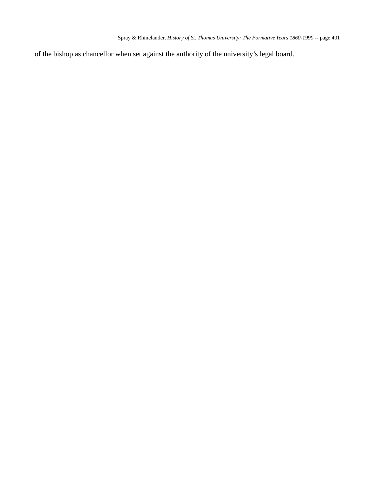of the bishop as chancellor when set against the authority of the university's legal board.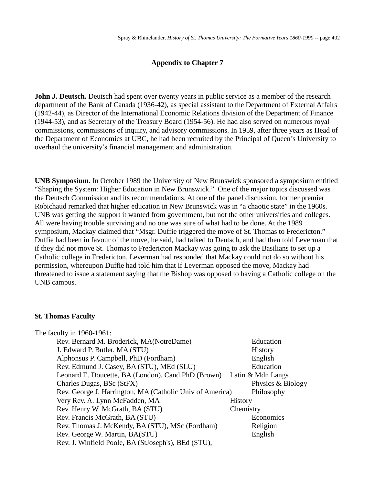## **Appendix to Chapter 7**

**John J. Deutsch.** Deutsch had spent over twenty years in public service as a member of the research department of the Bank of Canada (1936-42), as special assistant to the Department of External Affairs (1942-44), as Director of the International Economic Relations division of the Department of Finance (1944-53), and as Secretary of the Treasury Board (1954-56). He had also served on numerous royal commissions, commissions of inquiry, and advisory commissions. In 1959, after three years as Head of the Department of Economics at UBC, he had been recruited by the Principal of Queen's University to overhaul the university's financial management and administration.

**UNB Symposium.** In October 1989 the University of New Brunswick sponsored a symposium entitled "Shaping the System: Higher Education in New Brunswick." One of the major topics discussed was the Deutsch Commission and its recommendations. At one of the panel discussion, former premier Robichaud remarked that higher education in New Brunswick was in "a chaotic state" in the 1960s. UNB was getting the support it wanted from government, but not the other universities and colleges. All were having trouble surviving and no one was sure of what had to be done. At the 1989 symposium, Mackay claimed that "Msgr. Duffie triggered the move of St. Thomas to Fredericton." Duffie had been in favour of the move, he said, had talked to Deutsch, and had then told Leverman that if they did not move St. Thomas to Fredericton Mackay was going to ask the Basilians to set up a Catholic college in Fredericton. Leverman had responded that Mackay could not do so without his permission, whereupon Duffie had told him that if Leverman opposed the move, Mackay had threatened to issue a statement saying that the Bishop was opposed to having a Catholic college on the UNB campus.

## **St. Thomas Faculty**

| The faculty in 1960-1961:                                            |                   |
|----------------------------------------------------------------------|-------------------|
| Rev. Bernard M. Broderick, MA(NotreDame)                             | Education         |
| J. Edward P. Butler, MA (STU)                                        | <b>History</b>    |
| Alphonsus P. Campbell, PhD (Fordham)                                 | English           |
| Rev. Edmund J. Casey, BA (STU), MEd (SLU)                            | Education         |
| Leonard E. Doucette, BA (London), Cand PhD (Brown) Latin & Mdn Langs |                   |
| Charles Dugas, BSc (StFX)                                            | Physics & Biology |
| Rev. George J. Harrington, MA (Catholic Univ of America)             | Philosophy        |
| Very Rev. A. Lynn McFadden, MA                                       | <b>History</b>    |
| Rev. Henry W. McGrath, BA (STU)                                      | Chemistry         |
| Rev. Francis McGrath, BA (STU)                                       | Economics         |
| Rev. Thomas J. McKendy, BA (STU), MSc (Fordham)                      | Religion          |
| Rev. George W. Martin, BA(STU)                                       | English           |
| Rev. J. Winfield Poole, BA (StJoseph's), BEd (STU),                  |                   |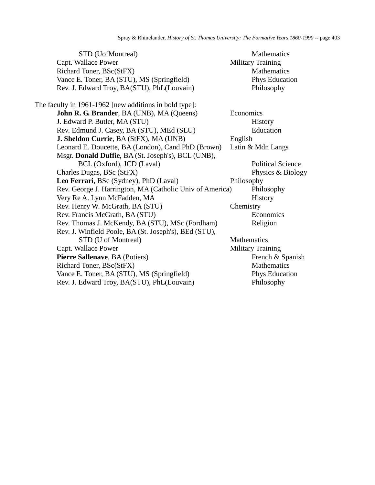| STD (UofMontreal)                                        | Mathematics              |
|----------------------------------------------------------|--------------------------|
| Capt. Wallace Power                                      | <b>Military Training</b> |
| Richard Toner, BSc(StFX)                                 | <b>Mathematics</b>       |
| Vance E. Toner, BA (STU), MS (Springfield)               | <b>Phys Education</b>    |
| Rev. J. Edward Troy, BA(STU), PhL(Louvain)               | Philosophy               |
| The faculty in 1961-1962 [new additions in bold type]:   |                          |
| <b>John R. G. Brander</b> , BA (UNB), MA (Queens)        | Economics                |
| J. Edward P. Butler, MA (STU)                            | History                  |
| Rev. Edmund J. Casey, BA (STU), MEd (SLU)                | Education                |
| J. Sheldon Currie, BA (StFX), MA (UNB)                   | English                  |
| Leonard E. Doucette, BA (London), Cand PhD (Brown)       | Latin & Mdn Langs        |
| Msgr. Donald Duffie, BA (St. Joseph's), BCL (UNB),       |                          |
| BCL (Oxford), JCD (Laval)                                | <b>Political Science</b> |
| Charles Dugas, BSc (StFX)                                | Physics & Biology        |
| Leo Ferrari, BSc (Sydney), PhD (Laval)                   | Philosophy               |
| Rev. George J. Harrington, MA (Catholic Univ of America) | Philosophy               |
| Very Re A. Lynn McFadden, MA                             | History                  |
| Rev. Henry W. McGrath, BA (STU)                          | Chemistry                |
| Rev. Francis McGrath, BA (STU)                           | Economics                |
| Rev. Thomas J. McKendy, BA (STU), MSc (Fordham)          | Religion                 |
| Rev. J. Winfield Poole, BA (St. Joseph's), BEd (STU),    |                          |
| STD (U of Montreal)                                      | Mathematics              |
| Capt. Wallace Power                                      | <b>Military Training</b> |
| Pierre Sallenave, BA (Potiers)                           | French & Spanish         |
| Richard Toner, BSc(StFX)                                 | Mathematics              |
| Vance E. Toner, BA (STU), MS (Springfield)               | <b>Phys Education</b>    |
| Rev. J. Edward Troy, BA(STU), PhL(Louvain)               | Philosophy               |
|                                                          |                          |